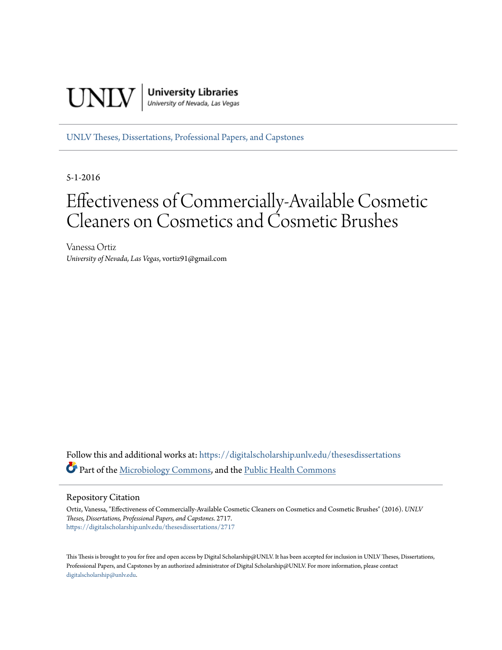

[UNLV Theses, Dissertations, Professional Papers, and Capstones](https://digitalscholarship.unlv.edu/thesesdissertations?utm_source=digitalscholarship.unlv.edu%2Fthesesdissertations%2F2717&utm_medium=PDF&utm_campaign=PDFCoverPages)

5-1-2016

# Effectiveness of Commercially-Available Cosmetic Cleaners on Cosmetics and Cosmetic Brushes

Vanessa Ortiz *University of Nevada, Las Vegas*, vortiz91@gmail.com

Follow this and additional works at: [https://digitalscholarship.unlv.edu/thesesdissertations](https://digitalscholarship.unlv.edu/thesesdissertations?utm_source=digitalscholarship.unlv.edu%2Fthesesdissertations%2F2717&utm_medium=PDF&utm_campaign=PDFCoverPages) Part of the [Microbiology Commons](http://network.bepress.com/hgg/discipline/48?utm_source=digitalscholarship.unlv.edu%2Fthesesdissertations%2F2717&utm_medium=PDF&utm_campaign=PDFCoverPages), and the [Public Health Commons](http://network.bepress.com/hgg/discipline/738?utm_source=digitalscholarship.unlv.edu%2Fthesesdissertations%2F2717&utm_medium=PDF&utm_campaign=PDFCoverPages)

Repository Citation

Ortiz, Vanessa, "Effectiveness of Commercially-Available Cosmetic Cleaners on Cosmetics and Cosmetic Brushes" (2016). *UNLV Theses, Dissertations, Professional Papers, and Capstones*. 2717. [https://digitalscholarship.unlv.edu/thesesdissertations/2717](https://digitalscholarship.unlv.edu/thesesdissertations/2717?utm_source=digitalscholarship.unlv.edu%2Fthesesdissertations%2F2717&utm_medium=PDF&utm_campaign=PDFCoverPages)

This Thesis is brought to you for free and open access by Digital Scholarship@UNLV. It has been accepted for inclusion in UNLV Theses, Dissertations, Professional Papers, and Capstones by an authorized administrator of Digital Scholarship@UNLV. For more information, please contact [digitalscholarship@unlv.edu.](mailto:digitalscholarship@unlv.edu)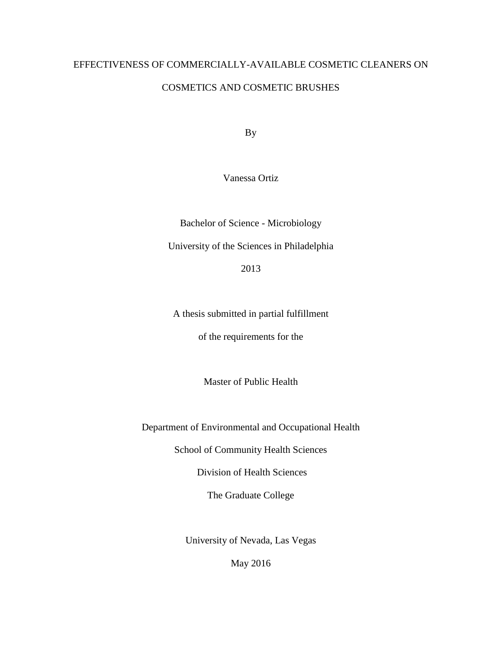## EFFECTIVENESS OF COMMERCIALLY-AVAILABLE COSMETIC CLEANERS ON COSMETICS AND COSMETIC BRUSHES

By

Vanessa Ortiz

Bachelor of Science - Microbiology University of the Sciences in Philadelphia

2013

A thesis submitted in partial fulfillment of the requirements for the

Master of Public Health

Department of Environmental and Occupational Health

School of Community Health Sciences

Division of Health Sciences

The Graduate College

University of Nevada, Las Vegas

May 2016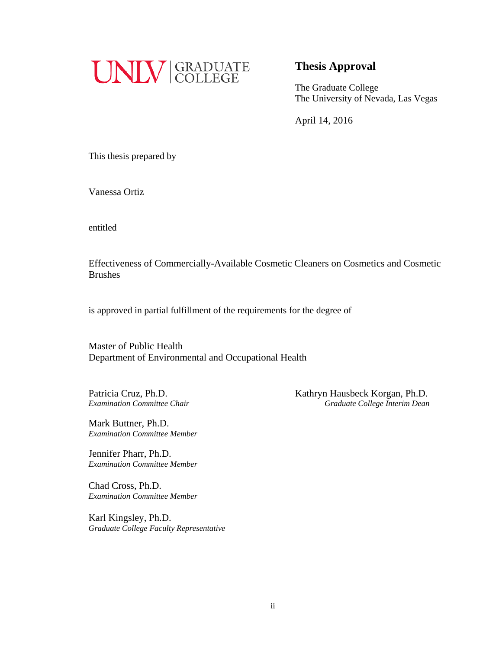

## **Thesis Approval**

The Graduate College The University of Nevada, Las Vegas

April 14, 2016

This thesis prepared by

Vanessa Ortiz

entitled

Effectiveness of Commercially-Available Cosmetic Cleaners on Cosmetics and Cosmetic Brushes

is approved in partial fulfillment of the requirements for the degree of

Master of Public Health Department of Environmental and Occupational Health

Patricia Cruz, Ph.D. Kathryn Hausbeck Korgan, Ph.D. *Examination Committee Chair Graduate College Interim Dean*

Mark Buttner, Ph.D. *Examination Committee Member*

Jennifer Pharr, Ph.D. *Examination Committee Member*

Chad Cross, Ph.D. *Examination Committee Member*

Karl Kingsley, Ph.D. *Graduate College Faculty Representative*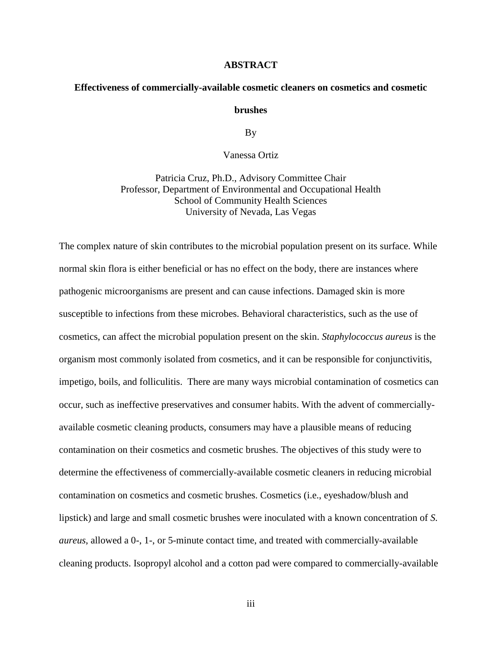#### **ABSTRACT**

## **Effectiveness of commercially-available cosmetic cleaners on cosmetics and cosmetic**

#### **brushes**

By

#### Vanessa Ortiz

Patricia Cruz, Ph.D., Advisory Committee Chair Professor, Department of Environmental and Occupational Health School of Community Health Sciences University of Nevada, Las Vegas

The complex nature of skin contributes to the microbial population present on its surface. While normal skin flora is either beneficial or has no effect on the body, there are instances where pathogenic microorganisms are present and can cause infections. Damaged skin is more susceptible to infections from these microbes. Behavioral characteristics, such as the use of cosmetics, can affect the microbial population present on the skin. *Staphylococcus aureus* is the organism most commonly isolated from cosmetics, and it can be responsible for conjunctivitis, impetigo, boils, and folliculitis. There are many ways microbial contamination of cosmetics can occur, such as ineffective preservatives and consumer habits. With the advent of commerciallyavailable cosmetic cleaning products, consumers may have a plausible means of reducing contamination on their cosmetics and cosmetic brushes. The objectives of this study were to determine the effectiveness of commercially-available cosmetic cleaners in reducing microbial contamination on cosmetics and cosmetic brushes. Cosmetics (i.e., eyeshadow/blush and lipstick) and large and small cosmetic brushes were inoculated with a known concentration of *S. aureus*, allowed a 0-, 1-, or 5-minute contact time, and treated with commercially-available cleaning products. Isopropyl alcohol and a cotton pad were compared to commercially-available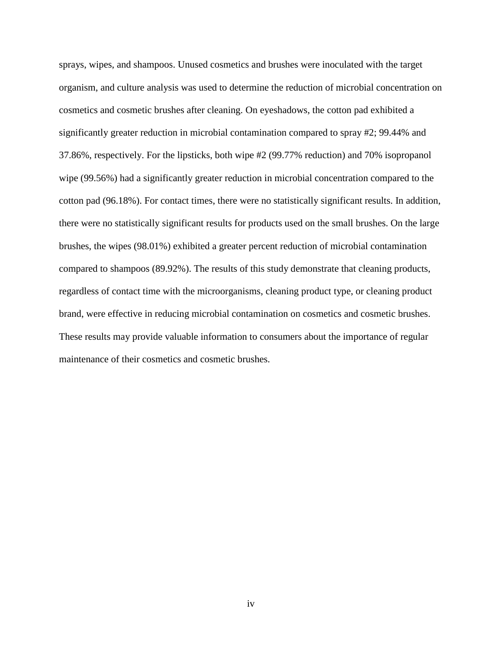sprays, wipes, and shampoos. Unused cosmetics and brushes were inoculated with the target organism, and culture analysis was used to determine the reduction of microbial concentration on cosmetics and cosmetic brushes after cleaning. On eyeshadows, the cotton pad exhibited a significantly greater reduction in microbial contamination compared to spray #2; 99.44% and 37.86%, respectively. For the lipsticks, both wipe #2 (99.77% reduction) and 70% isopropanol wipe (99.56%) had a significantly greater reduction in microbial concentration compared to the cotton pad (96.18%). For contact times, there were no statistically significant results. In addition, there were no statistically significant results for products used on the small brushes. On the large brushes, the wipes (98.01%) exhibited a greater percent reduction of microbial contamination compared to shampoos (89.92%). The results of this study demonstrate that cleaning products, regardless of contact time with the microorganisms, cleaning product type, or cleaning product brand, were effective in reducing microbial contamination on cosmetics and cosmetic brushes. These results may provide valuable information to consumers about the importance of regular maintenance of their cosmetics and cosmetic brushes.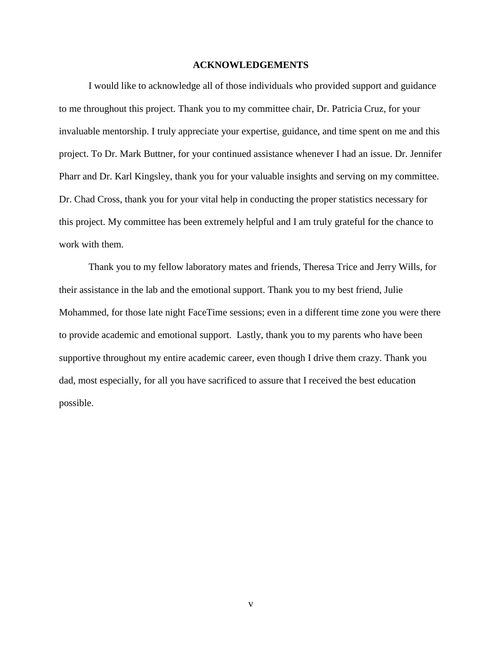#### **ACKNOWLEDGEMENTS**

I would like to acknowledge all of those individuals who provided support and guidance to me throughout this project. Thank you to my committee chair, Dr. Patricia Cruz, for your invaluable mentorship. I truly appreciate your expertise, guidance, and time spent on me and this project. To Dr. Mark Buttner, for your continued assistance whenever I had an issue. Dr. Jennifer Pharr and Dr. Karl Kingsley, thank you for your valuable insights and serving on my committee. Dr. Chad Cross, thank you for your vital help in conducting the proper statistics necessary for this project. My committee has been extremely helpful and I am truly grateful for the chance to work with them.

Thank you to my fellow laboratory mates and friends, Theresa Trice and Jerry Wills, for their assistance in the lab and the emotional support. Thank you to my best friend, Julie Mohammed, for those late night FaceTime sessions; even in a different time zone you were there to provide academic and emotional support. Lastly, thank you to my parents who have been supportive throughout my entire academic career, even though I drive them crazy. Thank you dad, most especially, for all you have sacrificed to assure that I received the best education possible.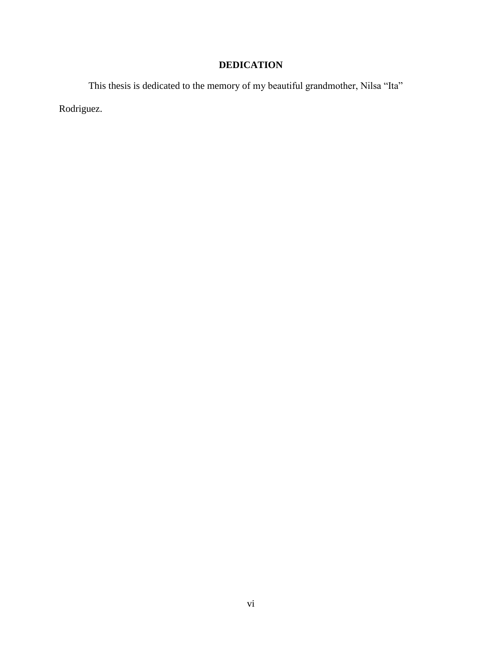## **DEDICATION**

This thesis is dedicated to the memory of my beautiful grandmother, Nilsa "Ita" Rodriguez.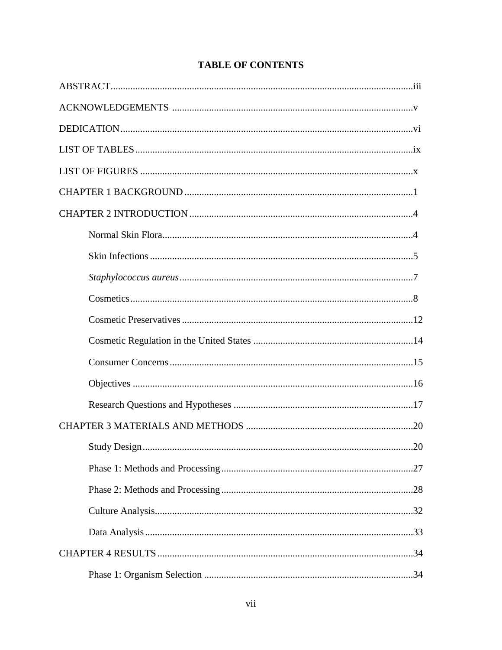## **TABLE OF CONTENTS**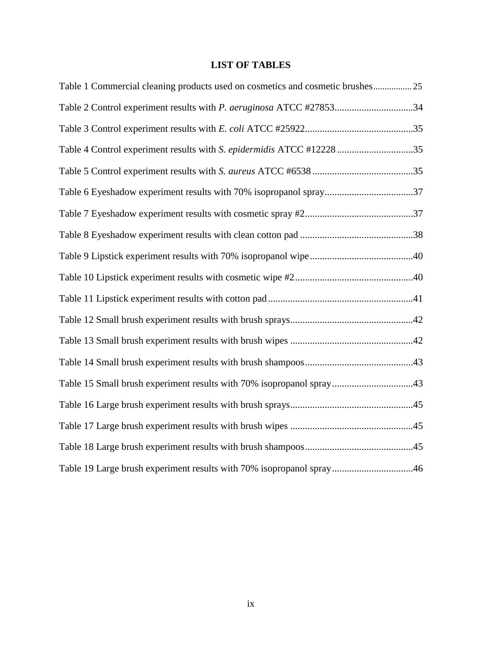## **LIST OF TABLES**

| Table 1 Commercial cleaning products used on cosmetics and cosmetic brushes 25 |  |
|--------------------------------------------------------------------------------|--|
| Table 2 Control experiment results with P. aeruginosa ATCC #2785334            |  |
|                                                                                |  |
| Table 4 Control experiment results with S. epidermidis ATCC #12228 35          |  |
|                                                                                |  |
| Table 6 Eyeshadow experiment results with 70% isopropanol spray37              |  |
|                                                                                |  |
|                                                                                |  |
|                                                                                |  |
|                                                                                |  |
|                                                                                |  |
|                                                                                |  |
|                                                                                |  |
|                                                                                |  |
| Table 15 Small brush experiment results with 70% isopropanol spray43           |  |
|                                                                                |  |
|                                                                                |  |
|                                                                                |  |
| Table 19 Large brush experiment results with 70% isopropanol spray46           |  |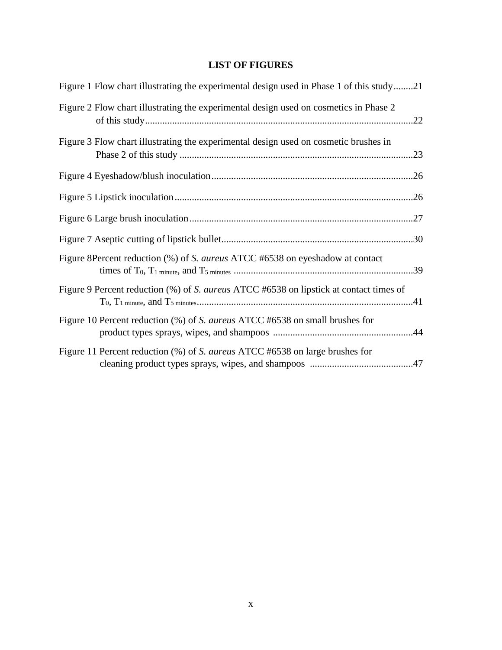## **LIST OF FIGURES**

| Figure 1 Flow chart illustrating the experimental design used in Phase 1 of this study21 |  |
|------------------------------------------------------------------------------------------|--|
| Figure 2 Flow chart illustrating the experimental design used on cosmetics in Phase 2    |  |
| Figure 3 Flow chart illustrating the experimental design used on cosmetic brushes in     |  |
|                                                                                          |  |
|                                                                                          |  |
|                                                                                          |  |
|                                                                                          |  |
| Figure 8Percent reduction (%) of S. <i>aureus</i> ATCC #6538 on eyeshadow at contact     |  |
| Figure 9 Percent reduction (%) of S. aureus ATCC #6538 on lipstick at contact times of   |  |
| Figure 10 Percent reduction (%) of S. aureus ATCC #6538 on small brushes for             |  |
| Figure 11 Percent reduction (%) of S. <i>aureus</i> ATCC #6538 on large brushes for      |  |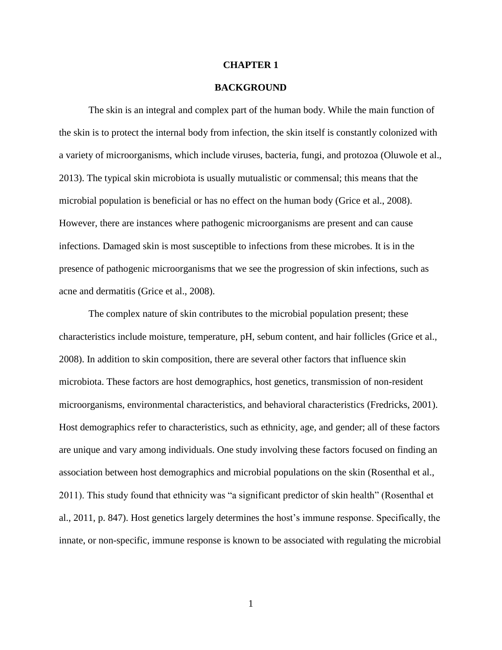#### **CHAPTER 1**

#### **BACKGROUND**

The skin is an integral and complex part of the human body. While the main function of the skin is to protect the internal body from infection, the skin itself is constantly colonized with a variety of microorganisms, which include viruses, bacteria, fungi, and protozoa (Oluwole et al., 2013). The typical skin microbiota is usually mutualistic or commensal; this means that the microbial population is beneficial or has no effect on the human body (Grice et al., 2008). However, there are instances where pathogenic microorganisms are present and can cause infections. Damaged skin is most susceptible to infections from these microbes. It is in the presence of pathogenic microorganisms that we see the progression of skin infections, such as acne and dermatitis (Grice et al., 2008).

The complex nature of skin contributes to the microbial population present; these characteristics include moisture, temperature, pH, sebum content, and hair follicles (Grice et al., 2008). In addition to skin composition, there are several other factors that influence skin microbiota. These factors are host demographics, host genetics, transmission of non-resident microorganisms, environmental characteristics, and behavioral characteristics (Fredricks, 2001). Host demographics refer to characteristics, such as ethnicity, age, and gender; all of these factors are unique and vary among individuals. One study involving these factors focused on finding an association between host demographics and microbial populations on the skin (Rosenthal et al., 2011). This study found that ethnicity was "a significant predictor of skin health" (Rosenthal et al., 2011, p. 847). Host genetics largely determines the host's immune response. Specifically, the innate, or non-specific, immune response is known to be associated with regulating the microbial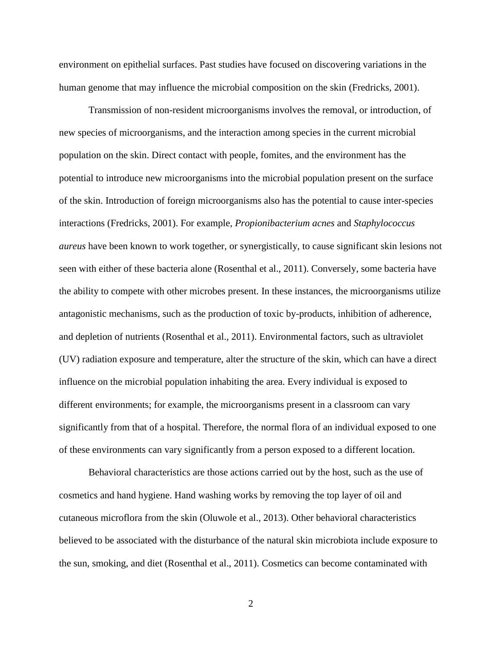environment on epithelial surfaces. Past studies have focused on discovering variations in the human genome that may influence the microbial composition on the skin (Fredricks, 2001).

Transmission of non-resident microorganisms involves the removal, or introduction, of new species of microorganisms, and the interaction among species in the current microbial population on the skin. Direct contact with people, fomites, and the environment has the potential to introduce new microorganisms into the microbial population present on the surface of the skin. Introduction of foreign microorganisms also has the potential to cause inter-species interactions (Fredricks, 2001). For example, *Propionibacterium acnes* and *Staphylococcus aureus* have been known to work together, or synergistically, to cause significant skin lesions not seen with either of these bacteria alone (Rosenthal et al., 2011). Conversely, some bacteria have the ability to compete with other microbes present. In these instances, the microorganisms utilize antagonistic mechanisms, such as the production of toxic by-products, inhibition of adherence, and depletion of nutrients (Rosenthal et al., 2011). Environmental factors, such as ultraviolet (UV) radiation exposure and temperature, alter the structure of the skin, which can have a direct influence on the microbial population inhabiting the area. Every individual is exposed to different environments; for example, the microorganisms present in a classroom can vary significantly from that of a hospital. Therefore, the normal flora of an individual exposed to one of these environments can vary significantly from a person exposed to a different location.

Behavioral characteristics are those actions carried out by the host, such as the use of cosmetics and hand hygiene. Hand washing works by removing the top layer of oil and cutaneous microflora from the skin (Oluwole et al., 2013). Other behavioral characteristics believed to be associated with the disturbance of the natural skin microbiota include exposure to the sun, smoking, and diet (Rosenthal et al., 2011). Cosmetics can become contaminated with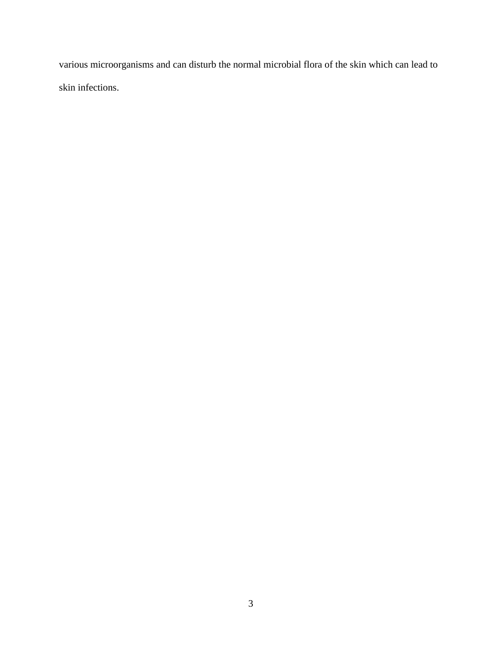various microorganisms and can disturb the normal microbial flora of the skin which can lead to skin infections.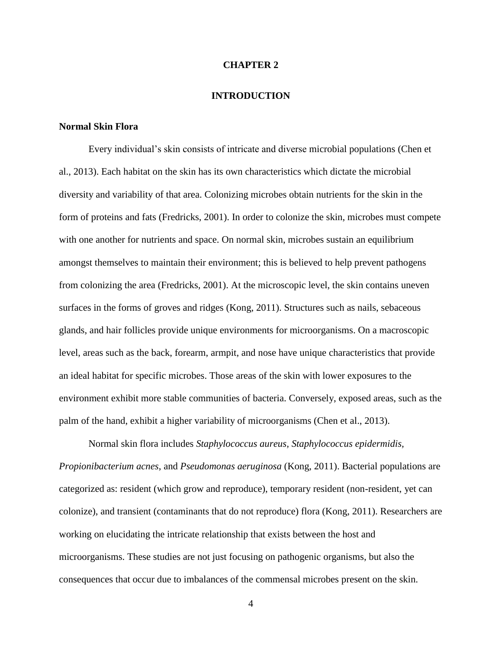#### **CHAPTER 2**

#### **INTRODUCTION**

#### **Normal Skin Flora**

Every individual's skin consists of intricate and diverse microbial populations (Chen et al., 2013). Each habitat on the skin has its own characteristics which dictate the microbial diversity and variability of that area. Colonizing microbes obtain nutrients for the skin in the form of proteins and fats (Fredricks, 2001). In order to colonize the skin, microbes must compete with one another for nutrients and space. On normal skin, microbes sustain an equilibrium amongst themselves to maintain their environment; this is believed to help prevent pathogens from colonizing the area (Fredricks, 2001). At the microscopic level, the skin contains uneven surfaces in the forms of groves and ridges (Kong, 2011). Structures such as nails, sebaceous glands, and hair follicles provide unique environments for microorganisms. On a macroscopic level, areas such as the back, forearm, armpit, and nose have unique characteristics that provide an ideal habitat for specific microbes. Those areas of the skin with lower exposures to the environment exhibit more stable communities of bacteria. Conversely, exposed areas, such as the palm of the hand, exhibit a higher variability of microorganisms (Chen et al., 2013).

Normal skin flora includes *Staphylococcus aureus, Staphylococcus epidermidis, Propionibacterium acnes*, and *Pseudomonas aeruginosa* (Kong, 2011). Bacterial populations are categorized as: resident (which grow and reproduce), temporary resident (non-resident, yet can colonize), and transient (contaminants that do not reproduce) flora (Kong, 2011). Researchers are working on elucidating the intricate relationship that exists between the host and microorganisms. These studies are not just focusing on pathogenic organisms, but also the consequences that occur due to imbalances of the commensal microbes present on the skin.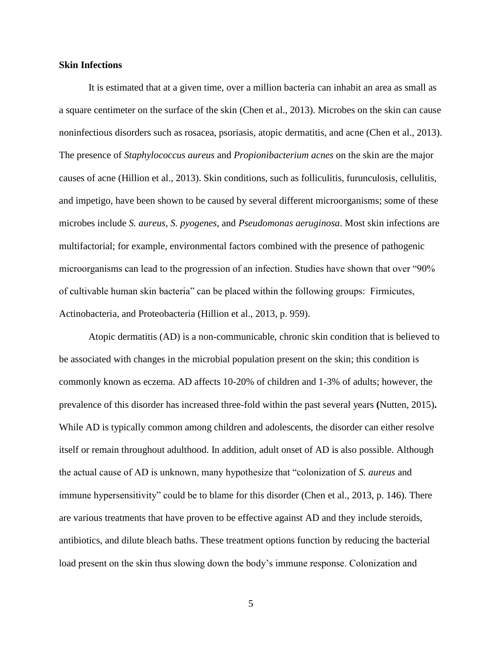#### **Skin Infections**

It is estimated that at a given time, over a million bacteria can inhabit an area as small as a square centimeter on the surface of the skin (Chen et al., 2013). Microbes on the skin can cause noninfectious disorders such as rosacea, psoriasis, atopic dermatitis, and acne (Chen et al., 2013). The presence of *Staphylococcus aureus* and *Propionibacterium acnes* on the skin are the major causes of acne (Hillion et al., 2013). Skin conditions, such as folliculitis, furunculosis, cellulitis, and impetigo, have been shown to be caused by several different microorganisms; some of these microbes include *S. aureus*, *S. pyogenes*, and *Pseudomonas aeruginosa*. Most skin infections are multifactorial; for example, environmental factors combined with the presence of pathogenic microorganisms can lead to the progression of an infection. Studies have shown that over "90% of cultivable human skin bacteria" can be placed within the following groups: Firmicutes, Actinobacteria, and Proteobacteria (Hillion et al., 2013, p. 959).

Atopic dermatitis (AD) is a non-communicable, chronic skin condition that is believed to be associated with changes in the microbial population present on the skin; this condition is commonly known as eczema. AD affects 10-20% of children and 1-3% of adults; however, the prevalence of this disorder has increased three-fold within the past several years **(**Nutten, 2015)**.**  While AD is typically common among children and adolescents, the disorder can either resolve itself or remain throughout adulthood. In addition, adult onset of AD is also possible. Although the actual cause of AD is unknown, many hypothesize that "colonization of *S. aureus* and immune hypersensitivity" could be to blame for this disorder (Chen et al., 2013, p. 146). There are various treatments that have proven to be effective against AD and they include steroids, antibiotics, and dilute bleach baths. These treatment options function by reducing the bacterial load present on the skin thus slowing down the body's immune response. Colonization and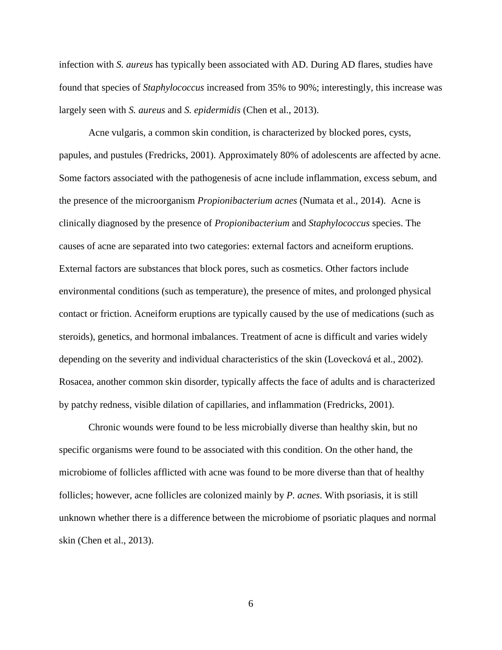infection with *S. aureus* has typically been associated with AD. During AD flares, studies have found that species of *Staphylococcus* increased from 35% to 90%; interestingly, this increase was largely seen with *S. aureus* and *S. epidermidis* (Chen et al., 2013).

Acne vulgaris, a common skin condition, is characterized by blocked pores, cysts, papules, and pustules (Fredricks, 2001). Approximately 80% of adolescents are affected by acne. Some factors associated with the pathogenesis of acne include inflammation, excess sebum, and the presence of the microorganism *Propionibacterium acnes* (Numata et al., 2014). Acne is clinically diagnosed by the presence of *Propionibacterium* and *Staphylococcus* species. The causes of acne are separated into two categories: external factors and acneiform eruptions. External factors are substances that block pores, such as cosmetics. Other factors include environmental conditions (such as temperature), the presence of mites, and prolonged physical contact or friction. Acneiform eruptions are typically caused by the use of medications (such as steroids), genetics, and hormonal imbalances. Treatment of acne is difficult and varies widely depending on the severity and individual characteristics of the skin (Lovecková et al., 2002). Rosacea, another common skin disorder, typically affects the face of adults and is characterized by patchy redness, visible dilation of capillaries, and inflammation (Fredricks, 2001).

Chronic wounds were found to be less microbially diverse than healthy skin, but no specific organisms were found to be associated with this condition. On the other hand, the microbiome of follicles afflicted with acne was found to be more diverse than that of healthy follicles; however, acne follicles are colonized mainly by *P. acnes*. With psoriasis, it is still unknown whether there is a difference between the microbiome of psoriatic plaques and normal skin (Chen et al., 2013).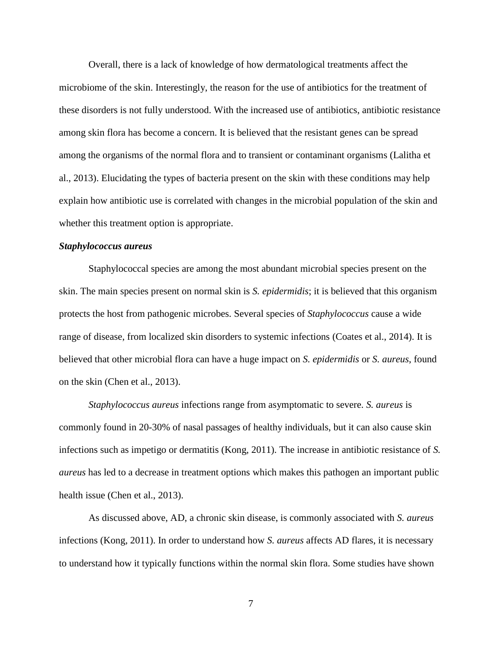Overall, there is a lack of knowledge of how dermatological treatments affect the microbiome of the skin. Interestingly, the reason for the use of antibiotics for the treatment of these disorders is not fully understood. With the increased use of antibiotics, antibiotic resistance among skin flora has become a concern. It is believed that the resistant genes can be spread among the organisms of the normal flora and to transient or contaminant organisms (Lalitha et al., 2013). Elucidating the types of bacteria present on the skin with these conditions may help explain how antibiotic use is correlated with changes in the microbial population of the skin and whether this treatment option is appropriate.

#### *Staphylococcus aureus*

Staphylococcal species are among the most abundant microbial species present on the skin. The main species present on normal skin is *S. epidermidis*; it is believed that this organism protects the host from pathogenic microbes. Several species of *Staphylococcus* cause a wide range of disease, from localized skin disorders to systemic infections (Coates et al., 2014). It is believed that other microbial flora can have a huge impact on *S. epidermidis* or *S. aureus*, found on the skin (Chen et al., 2013).

*Staphylococcus aureus* infections range from asymptomatic to severe. *S. aureus* is commonly found in 20-30% of nasal passages of healthy individuals, but it can also cause skin infections such as impetigo or dermatitis (Kong, 2011). The increase in antibiotic resistance of *S. aureus* has led to a decrease in treatment options which makes this pathogen an important public health issue (Chen et al., 2013).

As discussed above, AD, a chronic skin disease, is commonly associated with *S. aureus* infections (Kong, 2011). In order to understand how *S. aureus* affects AD flares, it is necessary to understand how it typically functions within the normal skin flora. Some studies have shown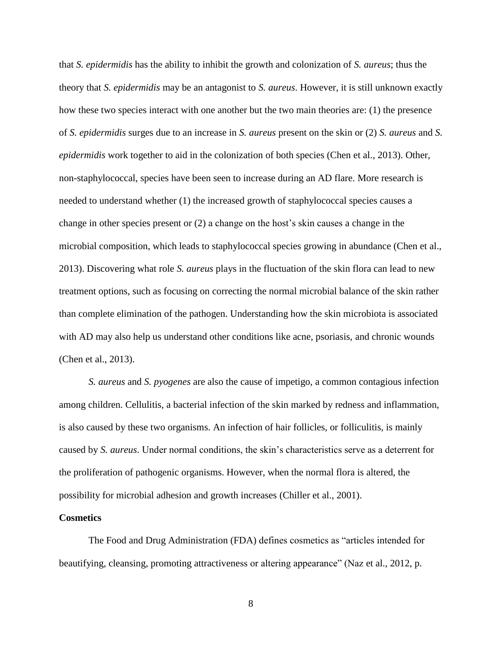that *S. epidermidis* has the ability to inhibit the growth and colonization of *S. aureus*; thus the theory that *S. epidermidis* may be an antagonist to *S. aureus*. However, it is still unknown exactly how these two species interact with one another but the two main theories are: (1) the presence of *S. epidermidis* surges due to an increase in *S. aureus* present on the skin or (2) *S. aureus* and *S. epidermidis* work together to aid in the colonization of both species (Chen et al., 2013). Other, non-staphylococcal, species have been seen to increase during an AD flare. More research is needed to understand whether (1) the increased growth of staphylococcal species causes a change in other species present or (2) a change on the host's skin causes a change in the microbial composition, which leads to staphylococcal species growing in abundance (Chen et al., 2013). Discovering what role *S. aureus* plays in the fluctuation of the skin flora can lead to new treatment options, such as focusing on correcting the normal microbial balance of the skin rather than complete elimination of the pathogen. Understanding how the skin microbiota is associated with AD may also help us understand other conditions like acne, psoriasis, and chronic wounds (Chen et al., 2013).

*S. aureus* and *S. pyogenes* are also the cause of impetigo, a common contagious infection among children. Cellulitis, a bacterial infection of the skin marked by redness and inflammation, is also caused by these two organisms. An infection of hair follicles, or folliculitis, is mainly caused by *S. aureus*. Under normal conditions, the skin's characteristics serve as a deterrent for the proliferation of pathogenic organisms. However, when the normal flora is altered, the possibility for microbial adhesion and growth increases (Chiller et al., 2001).

#### **Cosmetics**

The Food and Drug Administration (FDA) defines cosmetics as "articles intended for beautifying, cleansing, promoting attractiveness or altering appearance" (Naz et al., 2012, p.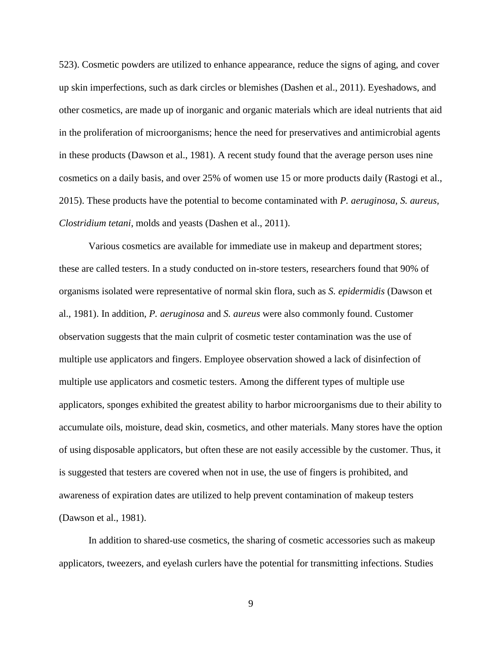523). Cosmetic powders are utilized to enhance appearance, reduce the signs of aging, and cover up skin imperfections, such as dark circles or blemishes (Dashen et al., 2011). Eyeshadows, and other cosmetics, are made up of inorganic and organic materials which are ideal nutrients that aid in the proliferation of microorganisms; hence the need for preservatives and antimicrobial agents in these products (Dawson et al., 1981). A recent study found that the average person uses nine cosmetics on a daily basis, and over 25% of women use 15 or more products daily (Rastogi et al., 2015). These products have the potential to become contaminated with *P. aeruginosa, S. aureus, Clostridium tetani*, molds and yeasts (Dashen et al., 2011).

Various cosmetics are available for immediate use in makeup and department stores; these are called testers. In a study conducted on in-store testers, researchers found that 90% of organisms isolated were representative of normal skin flora, such as *S. epidermidis* (Dawson et al., 1981). In addition, *P. aeruginosa* and *S. aureus* were also commonly found. Customer observation suggests that the main culprit of cosmetic tester contamination was the use of multiple use applicators and fingers. Employee observation showed a lack of disinfection of multiple use applicators and cosmetic testers. Among the different types of multiple use applicators, sponges exhibited the greatest ability to harbor microorganisms due to their ability to accumulate oils, moisture, dead skin, cosmetics, and other materials. Many stores have the option of using disposable applicators, but often these are not easily accessible by the customer. Thus, it is suggested that testers are covered when not in use, the use of fingers is prohibited, and awareness of expiration dates are utilized to help prevent contamination of makeup testers (Dawson et al., 1981).

In addition to shared-use cosmetics, the sharing of cosmetic accessories such as makeup applicators, tweezers, and eyelash curlers have the potential for transmitting infections. Studies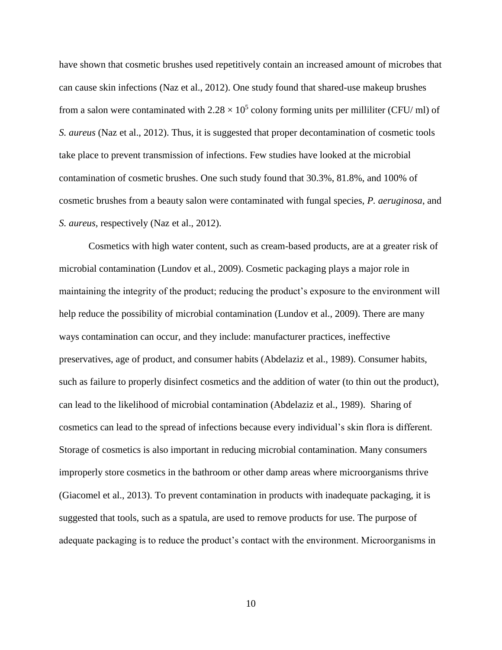have shown that cosmetic brushes used repetitively contain an increased amount of microbes that can cause skin infections (Naz et al., 2012). One study found that shared-use makeup brushes from a salon were contaminated with  $2.28 \times 10^5$  colony forming units per milliliter (CFU/ ml) of *S. aureus* (Naz et al., 2012). Thus, it is suggested that proper decontamination of cosmetic tools take place to prevent transmission of infections. Few studies have looked at the microbial contamination of cosmetic brushes. One such study found that 30.3%, 81.8%, and 100% of cosmetic brushes from a beauty salon were contaminated with fungal species, *P. aeruginosa*, and *S. aureus,* respectively (Naz et al., 2012).

Cosmetics with high water content, such as cream-based products, are at a greater risk of microbial contamination (Lundov et al., 2009). Cosmetic packaging plays a major role in maintaining the integrity of the product; reducing the product's exposure to the environment will help reduce the possibility of microbial contamination (Lundov et al., 2009). There are many ways contamination can occur, and they include: manufacturer practices, ineffective preservatives, age of product, and consumer habits (Abdelaziz et al., 1989). Consumer habits, such as failure to properly disinfect cosmetics and the addition of water (to thin out the product), can lead to the likelihood of microbial contamination (Abdelaziz et al., 1989). Sharing of cosmetics can lead to the spread of infections because every individual's skin flora is different. Storage of cosmetics is also important in reducing microbial contamination. Many consumers improperly store cosmetics in the bathroom or other damp areas where microorganisms thrive (Giacomel et al., 2013). To prevent contamination in products with inadequate packaging, it is suggested that tools, such as a spatula, are used to remove products for use. The purpose of adequate packaging is to reduce the product's contact with the environment. Microorganisms in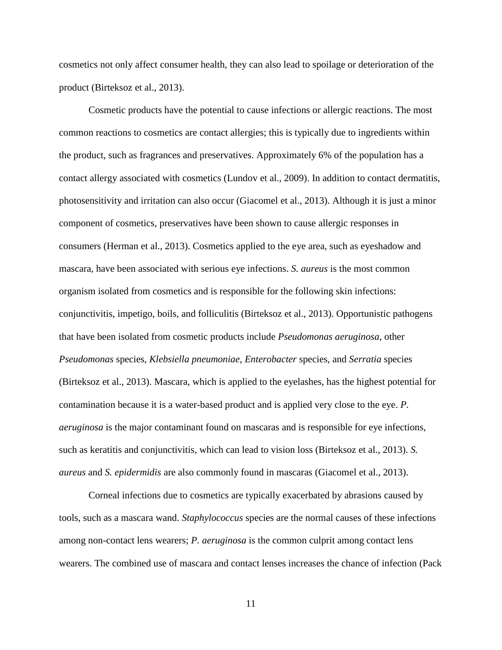cosmetics not only affect consumer health, they can also lead to spoilage or deterioration of the product (Birteksoz et al., 2013).

Cosmetic products have the potential to cause infections or allergic reactions. The most common reactions to cosmetics are contact allergies; this is typically due to ingredients within the product, such as fragrances and preservatives. Approximately 6% of the population has a contact allergy associated with cosmetics (Lundov et al., 2009). In addition to contact dermatitis, photosensitivity and irritation can also occur (Giacomel et al., 2013). Although it is just a minor component of cosmetics, preservatives have been shown to cause allergic responses in consumers (Herman et al., 2013). Cosmetics applied to the eye area, such as eyeshadow and mascara, have been associated with serious eye infections. *S. aureus* is the most common organism isolated from cosmetics and is responsible for the following skin infections: conjunctivitis, impetigo, boils, and folliculitis (Birteksoz et al., 2013). Opportunistic pathogens that have been isolated from cosmetic products include *Pseudomonas aeruginosa*, other *Pseudomonas* species, *Klebsiella pneumoniae*, *Enterobacter* species, and *Serratia* species (Birteksoz et al., 2013). Mascara, which is applied to the eyelashes, has the highest potential for contamination because it is a water-based product and is applied very close to the eye. *P. aeruginosa* is the major contaminant found on mascaras and is responsible for eye infections, such as keratitis and conjunctivitis, which can lead to vision loss (Birteksoz et al., 2013). *S. aureus* and *S. epidermidis* are also commonly found in mascaras (Giacomel et al., 2013).

Corneal infections due to cosmetics are typically exacerbated by abrasions caused by tools, such as a mascara wand. *Staphylococcus* species are the normal causes of these infections among non-contact lens wearers; *P. aeruginosa* is the common culprit among contact lens wearers. The combined use of mascara and contact lenses increases the chance of infection (Pack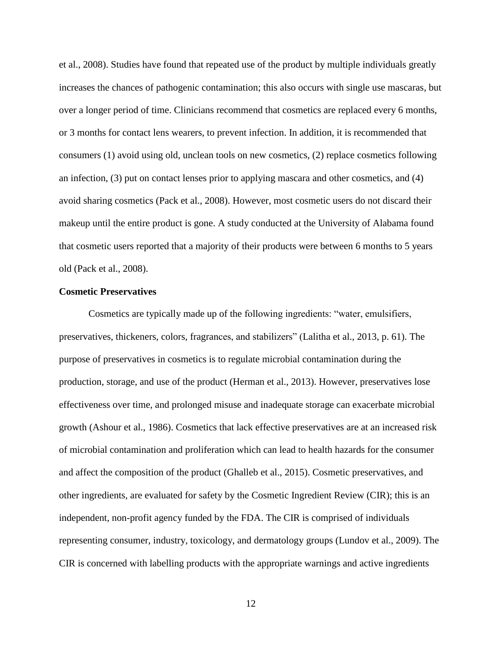et al., 2008). Studies have found that repeated use of the product by multiple individuals greatly increases the chances of pathogenic contamination; this also occurs with single use mascaras, but over a longer period of time. Clinicians recommend that cosmetics are replaced every 6 months, or 3 months for contact lens wearers, to prevent infection. In addition, it is recommended that consumers (1) avoid using old, unclean tools on new cosmetics, (2) replace cosmetics following an infection, (3) put on contact lenses prior to applying mascara and other cosmetics, and (4) avoid sharing cosmetics (Pack et al., 2008). However, most cosmetic users do not discard their makeup until the entire product is gone. A study conducted at the University of Alabama found that cosmetic users reported that a majority of their products were between 6 months to 5 years old (Pack et al., 2008).

#### **Cosmetic Preservatives**

Cosmetics are typically made up of the following ingredients: "water, emulsifiers, preservatives, thickeners, colors, fragrances, and stabilizers" (Lalitha et al., 2013, p. 61). The purpose of preservatives in cosmetics is to regulate microbial contamination during the production, storage, and use of the product (Herman et al., 2013). However, preservatives lose effectiveness over time, and prolonged misuse and inadequate storage can exacerbate microbial growth (Ashour et al., 1986). Cosmetics that lack effective preservatives are at an increased risk of microbial contamination and proliferation which can lead to health hazards for the consumer and affect the composition of the product (Ghalleb et al., 2015). Cosmetic preservatives, and other ingredients, are evaluated for safety by the Cosmetic Ingredient Review (CIR); this is an independent, non-profit agency funded by the FDA. The CIR is comprised of individuals representing consumer, industry, toxicology, and dermatology groups (Lundov et al., 2009). The CIR is concerned with labelling products with the appropriate warnings and active ingredients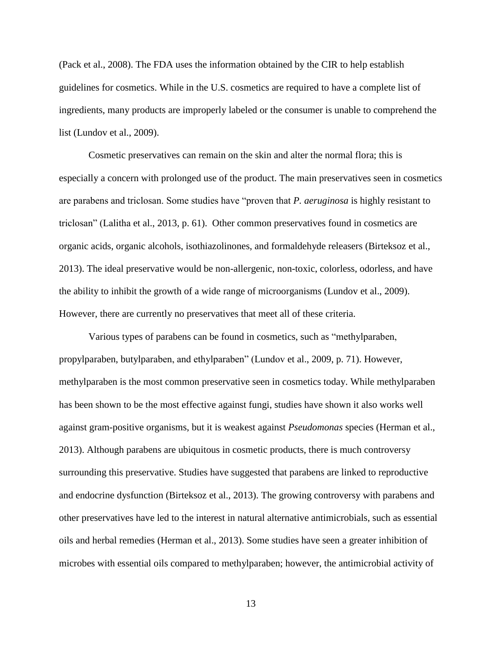(Pack et al., 2008). The FDA uses the information obtained by the CIR to help establish guidelines for cosmetics. While in the U.S. cosmetics are required to have a complete list of ingredients, many products are improperly labeled or the consumer is unable to comprehend the list (Lundov et al., 2009).

Cosmetic preservatives can remain on the skin and alter the normal flora; this is especially a concern with prolonged use of the product. The main preservatives seen in cosmetics are parabens and triclosan. Some studies have "proven that *P. aeruginosa* is highly resistant to triclosan" (Lalitha et al., 2013, p. 61). Other common preservatives found in cosmetics are organic acids, organic alcohols, isothiazolinones, and formaldehyde releasers (Birteksoz et al., 2013). The ideal preservative would be non-allergenic, non-toxic, colorless, odorless, and have the ability to inhibit the growth of a wide range of microorganisms (Lundov et al., 2009). However, there are currently no preservatives that meet all of these criteria.

Various types of parabens can be found in cosmetics, such as "methylparaben, propylparaben, butylparaben, and ethylparaben" (Lundov et al., 2009, p. 71). However, methylparaben is the most common preservative seen in cosmetics today. While methylparaben has been shown to be the most effective against fungi, studies have shown it also works well against gram-positive organisms, but it is weakest against *Pseudomonas* species (Herman et al., 2013). Although parabens are ubiquitous in cosmetic products, there is much controversy surrounding this preservative. Studies have suggested that parabens are linked to reproductive and endocrine dysfunction (Birteksoz et al., 2013). The growing controversy with parabens and other preservatives have led to the interest in natural alternative antimicrobials, such as essential oils and herbal remedies (Herman et al., 2013). Some studies have seen a greater inhibition of microbes with essential oils compared to methylparaben; however, the antimicrobial activity of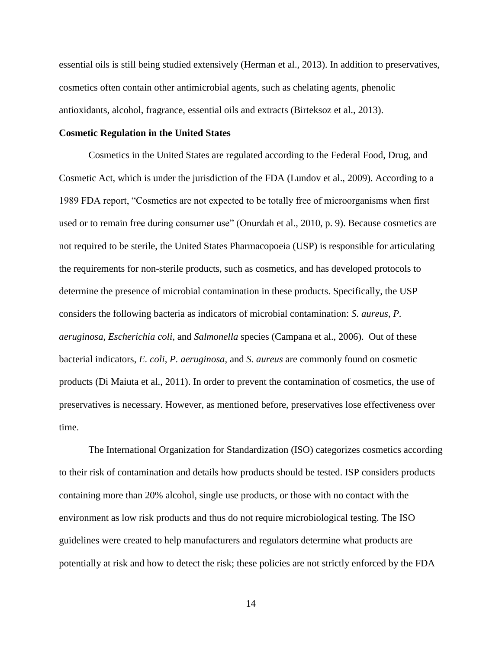essential oils is still being studied extensively (Herman et al., 2013). In addition to preservatives, cosmetics often contain other antimicrobial agents, such as chelating agents, phenolic antioxidants, alcohol, fragrance, essential oils and extracts (Birteksoz et al., 2013).

#### **Cosmetic Regulation in the United States**

Cosmetics in the United States are regulated according to the Federal Food, Drug, and Cosmetic Act, which is under the jurisdiction of the FDA (Lundov et al., 2009). According to a 1989 FDA report, "Cosmetics are not expected to be totally free of microorganisms when first used or to remain free during consumer use" (Onurdah et al., 2010, p. 9). Because cosmetics are not required to be sterile, the United States Pharmacopoeia (USP) is responsible for articulating the requirements for non-sterile products, such as cosmetics, and has developed protocols to determine the presence of microbial contamination in these products. Specifically, the USP considers the following bacteria as indicators of microbial contamination: *S. aureus*, *P. aeruginosa*, *Escherichia coli*, and *Salmonella* species (Campana et al., 2006). Out of these bacterial indicators, *E. coli*, *P. aeruginosa*, and *S. aureus* are commonly found on cosmetic products (Di Maiuta et al., 2011). In order to prevent the contamination of cosmetics, the use of preservatives is necessary. However, as mentioned before, preservatives lose effectiveness over time.

The International Organization for Standardization (ISO) categorizes cosmetics according to their risk of contamination and details how products should be tested. ISP considers products containing more than 20% alcohol, single use products, or those with no contact with the environment as low risk products and thus do not require microbiological testing. The ISO guidelines were created to help manufacturers and regulators determine what products are potentially at risk and how to detect the risk; these policies are not strictly enforced by the FDA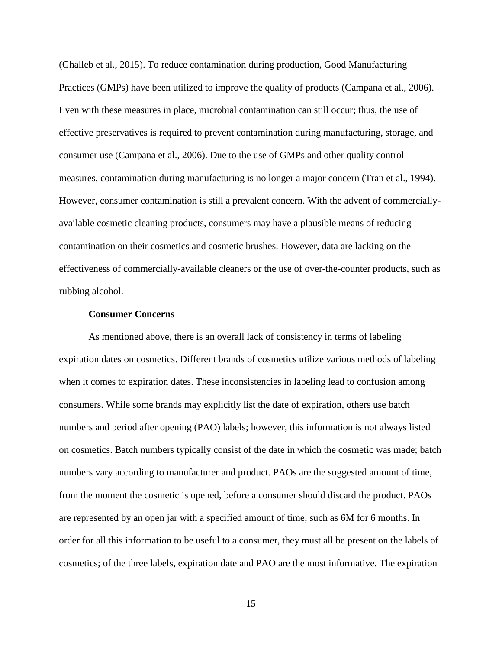(Ghalleb et al., 2015). To reduce contamination during production, Good Manufacturing Practices (GMPs) have been utilized to improve the quality of products (Campana et al., 2006). Even with these measures in place, microbial contamination can still occur; thus, the use of effective preservatives is required to prevent contamination during manufacturing, storage, and consumer use (Campana et al., 2006). Due to the use of GMPs and other quality control measures, contamination during manufacturing is no longer a major concern (Tran et al., 1994). However, consumer contamination is still a prevalent concern. With the advent of commerciallyavailable cosmetic cleaning products, consumers may have a plausible means of reducing contamination on their cosmetics and cosmetic brushes. However, data are lacking on the effectiveness of commercially-available cleaners or the use of over-the-counter products, such as rubbing alcohol.

#### **Consumer Concerns**

As mentioned above, there is an overall lack of consistency in terms of labeling expiration dates on cosmetics. Different brands of cosmetics utilize various methods of labeling when it comes to expiration dates. These inconsistencies in labeling lead to confusion among consumers. While some brands may explicitly list the date of expiration, others use batch numbers and period after opening (PAO) labels; however, this information is not always listed on cosmetics. Batch numbers typically consist of the date in which the cosmetic was made; batch numbers vary according to manufacturer and product. PAOs are the suggested amount of time, from the moment the cosmetic is opened, before a consumer should discard the product. PAOs are represented by an open jar with a specified amount of time, such as 6M for 6 months. In order for all this information to be useful to a consumer, they must all be present on the labels of cosmetics; of the three labels, expiration date and PAO are the most informative. The expiration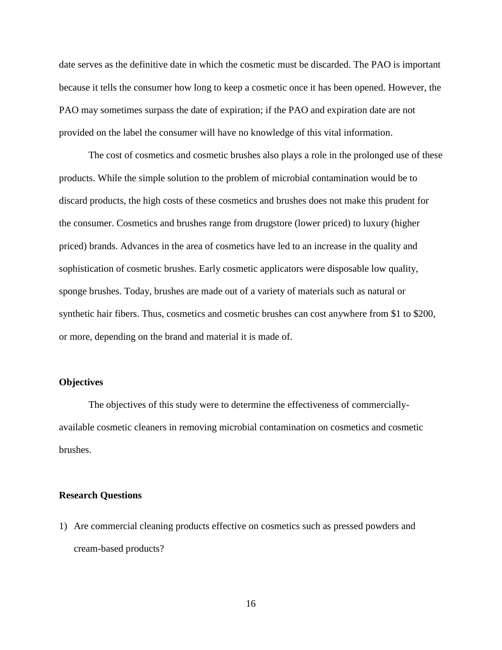date serves as the definitive date in which the cosmetic must be discarded. The PAO is important because it tells the consumer how long to keep a cosmetic once it has been opened. However, the PAO may sometimes surpass the date of expiration; if the PAO and expiration date are not provided on the label the consumer will have no knowledge of this vital information.

The cost of cosmetics and cosmetic brushes also plays a role in the prolonged use of these products. While the simple solution to the problem of microbial contamination would be to discard products, the high costs of these cosmetics and brushes does not make this prudent for the consumer. Cosmetics and brushes range from drugstore (lower priced) to luxury (higher priced) brands. Advances in the area of cosmetics have led to an increase in the quality and sophistication of cosmetic brushes. Early cosmetic applicators were disposable low quality, sponge brushes. Today, brushes are made out of a variety of materials such as natural or synthetic hair fibers. Thus, cosmetics and cosmetic brushes can cost anywhere from \$1 to \$200, or more, depending on the brand and material it is made of.

#### **Objectives**

The objectives of this study were to determine the effectiveness of commerciallyavailable cosmetic cleaners in removing microbial contamination on cosmetics and cosmetic brushes.

#### **Research Questions**

1) Are commercial cleaning products effective on cosmetics such as pressed powders and cream-based products?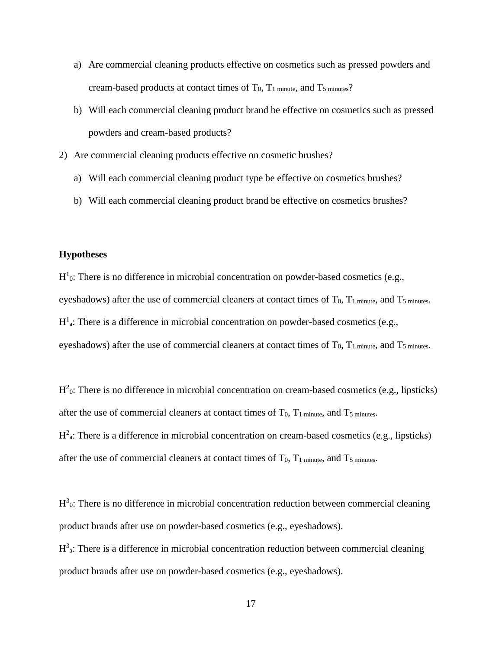- a) Are commercial cleaning products effective on cosmetics such as pressed powders and cream-based products at contact times of  $T_0$ ,  $T_1$  minute, and  $T_5$  minutes?
- b) Will each commercial cleaning product brand be effective on cosmetics such as pressed powders and cream-based products?
- 2) Are commercial cleaning products effective on cosmetic brushes?
	- a) Will each commercial cleaning product type be effective on cosmetics brushes?
	- b) Will each commercial cleaning product brand be effective on cosmetics brushes?

#### **Hypotheses**

 $H<sup>1</sup>$ <sup>0</sup>: There is no difference in microbial concentration on powder-based cosmetics (e.g., eyeshadows) after the use of commercial cleaners at contact times of  $T_0$ ,  $T_1$  minute, and  $T_5$  minutes.  $H<sup>1</sup>$ <sub>a</sub>: There is a difference in microbial concentration on powder-based cosmetics (e.g., eyeshadows) after the use of commercial cleaners at contact times of  $T_0$ ,  $T_1$  minute, and  $T_5$  minutes.

 $H<sup>2</sup>$ <sup>0</sup>: There is no difference in microbial concentration on cream-based cosmetics (e.g., lipsticks) after the use of commercial cleaners at contact times of  $T_0$ ,  $T_1$  minute, and  $T_5$  minutes.  $H<sup>2</sup>$ <sub>a</sub>: There is a difference in microbial concentration on cream-based cosmetics (e.g., lipsticks) after the use of commercial cleaners at contact times of  $T_0$ ,  $T_1$  minute, and  $T_5$  minutes.

 $H<sup>3</sup>$ <sup>0</sup>: There is no difference in microbial concentration reduction between commercial cleaning product brands after use on powder-based cosmetics (e.g., eyeshadows).

 $H<sup>3</sup>$ <sub>a</sub>: There is a difference in microbial concentration reduction between commercial cleaning product brands after use on powder-based cosmetics (e.g., eyeshadows).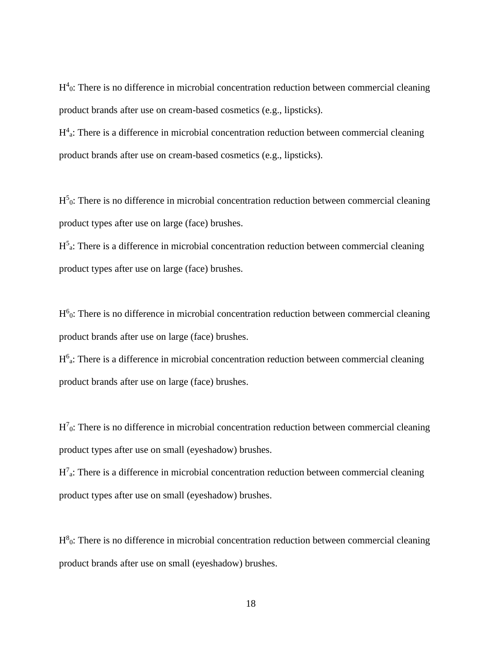$H<sup>4</sup>$ <sup>0</sup>: There is no difference in microbial concentration reduction between commercial cleaning product brands after use on cream-based cosmetics (e.g., lipsticks).

 $H<sup>4</sup>$ a: There is a difference in microbial concentration reduction between commercial cleaning product brands after use on cream-based cosmetics (e.g., lipsticks).

 $H<sup>5</sup>$ <sup>0</sup>: There is no difference in microbial concentration reduction between commercial cleaning product types after use on large (face) brushes.

 $H<sup>5</sup>$ a: There is a difference in microbial concentration reduction between commercial cleaning product types after use on large (face) brushes.

 $H<sup>6</sup>$ <sup>0</sup>: There is no difference in microbial concentration reduction between commercial cleaning product brands after use on large (face) brushes.

 $H<sup>6</sup>$ a: There is a difference in microbial concentration reduction between commercial cleaning product brands after use on large (face) brushes.

 $H<sup>7</sup>$ <sup>0</sup>: There is no difference in microbial concentration reduction between commercial cleaning product types after use on small (eyeshadow) brushes.

 $H<sup>7</sup>$ <sub>a</sub>: There is a difference in microbial concentration reduction between commercial cleaning product types after use on small (eyeshadow) brushes.

 $H^8$ <sup>0</sup>: There is no difference in microbial concentration reduction between commercial cleaning product brands after use on small (eyeshadow) brushes.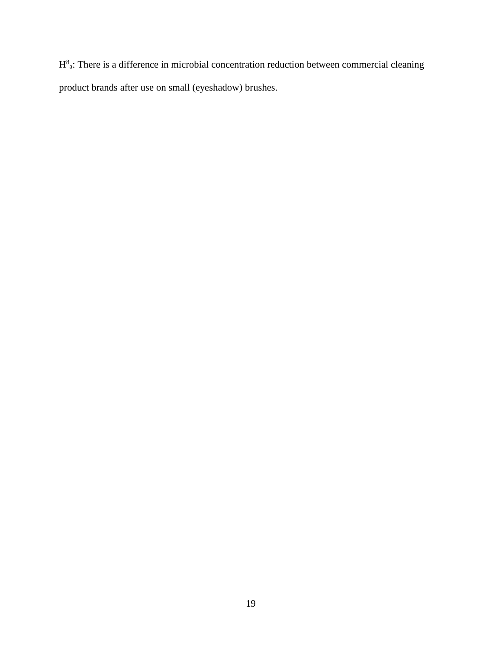$H^8$ <sup>a</sup>: There is a difference in microbial concentration reduction between commercial cleaning product brands after use on small (eyeshadow) brushes.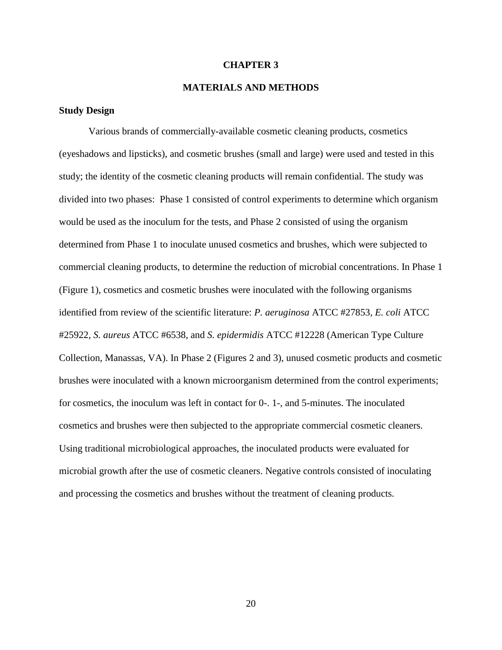#### **CHAPTER 3**

#### **MATERIALS AND METHODS**

#### **Study Design**

Various brands of commercially-available cosmetic cleaning products, cosmetics (eyeshadows and lipsticks), and cosmetic brushes (small and large) were used and tested in this study; the identity of the cosmetic cleaning products will remain confidential. The study was divided into two phases: Phase 1 consisted of control experiments to determine which organism would be used as the inoculum for the tests, and Phase 2 consisted of using the organism determined from Phase 1 to inoculate unused cosmetics and brushes, which were subjected to commercial cleaning products, to determine the reduction of microbial concentrations. In Phase 1 (Figure 1), cosmetics and cosmetic brushes were inoculated with the following organisms identified from review of the scientific literature: *P. aeruginosa* ATCC #27853*, E. coli* ATCC #25922*, S. aureus* ATCC #6538, and *S. epidermidis* ATCC #12228 (American Type Culture Collection, Manassas, VA). In Phase 2 (Figures 2 and 3), unused cosmetic products and cosmetic brushes were inoculated with a known microorganism determined from the control experiments; for cosmetics, the inoculum was left in contact for 0-. 1-, and 5-minutes. The inoculated cosmetics and brushes were then subjected to the appropriate commercial cosmetic cleaners. Using traditional microbiological approaches, the inoculated products were evaluated for microbial growth after the use of cosmetic cleaners. Negative controls consisted of inoculating and processing the cosmetics and brushes without the treatment of cleaning products.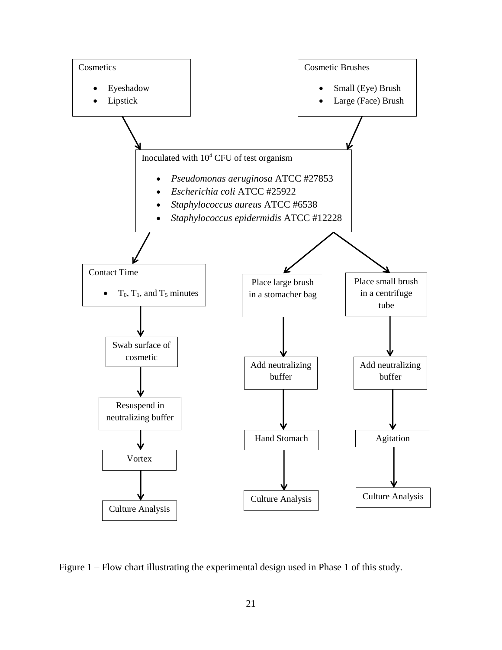

Figure 1 – Flow chart illustrating the experimental design used in Phase 1 of this study.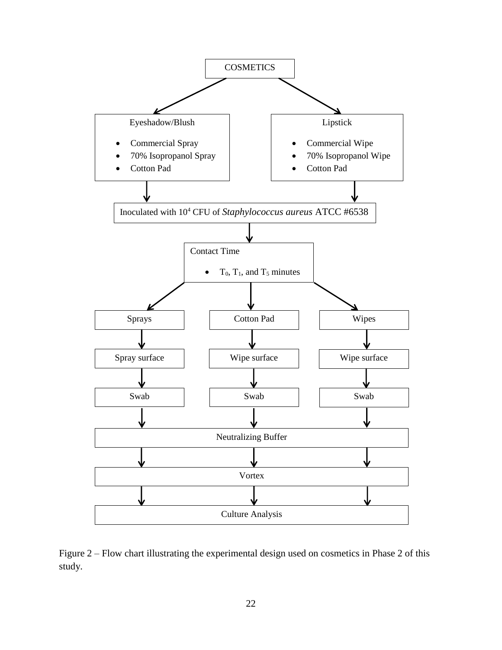

Figure 2 – Flow chart illustrating the experimental design used on cosmetics in Phase 2 of this study.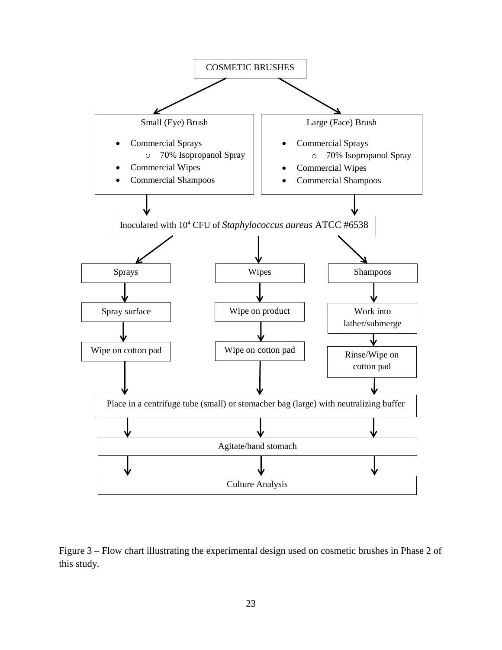

Figure 3 – Flow chart illustrating the experimental design used on cosmetic brushes in Phase 2 of this study.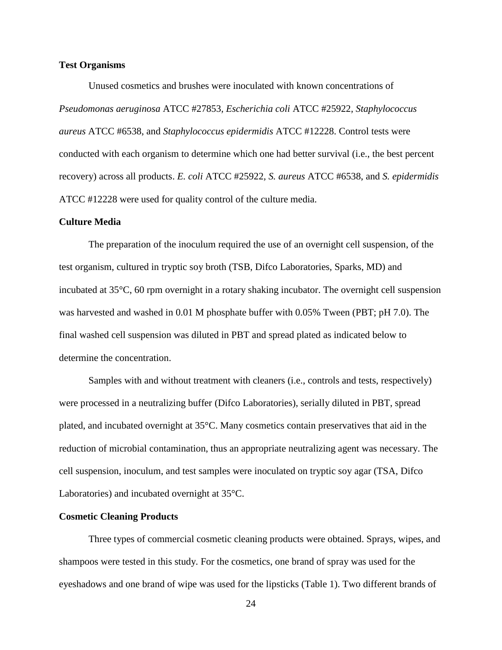#### **Test Organisms**

Unused cosmetics and brushes were inoculated with known concentrations of *Pseudomonas aeruginosa* ATCC #27853*, Escherichia coli* ATCC #25922*, Staphylococcus aureus* ATCC #6538, and *Staphylococcus epidermidis* ATCC #12228. Control tests were conducted with each organism to determine which one had better survival (i.e., the best percent recovery) across all products. *E. coli* ATCC #25922*, S. aureus* ATCC #6538, and *S. epidermidis*  ATCC #12228 were used for quality control of the culture media.

#### **Culture Media**

The preparation of the inoculum required the use of an overnight cell suspension, of the test organism, cultured in tryptic soy broth (TSB, Difco Laboratories, Sparks, MD) and incubated at 35°C, 60 rpm overnight in a rotary shaking incubator. The overnight cell suspension was harvested and washed in 0.01 M phosphate buffer with 0.05% Tween (PBT; pH 7.0). The final washed cell suspension was diluted in PBT and spread plated as indicated below to determine the concentration.

Samples with and without treatment with cleaners (i.e., controls and tests, respectively) were processed in a neutralizing buffer (Difco Laboratories), serially diluted in PBT, spread plated, and incubated overnight at 35°C. Many cosmetics contain preservatives that aid in the reduction of microbial contamination, thus an appropriate neutralizing agent was necessary. The cell suspension, inoculum, and test samples were inoculated on tryptic soy agar (TSA, Difco Laboratories) and incubated overnight at 35°C.

#### **Cosmetic Cleaning Products**

Three types of commercial cosmetic cleaning products were obtained. Sprays, wipes, and shampoos were tested in this study. For the cosmetics, one brand of spray was used for the eyeshadows and one brand of wipe was used for the lipsticks (Table 1). Two different brands of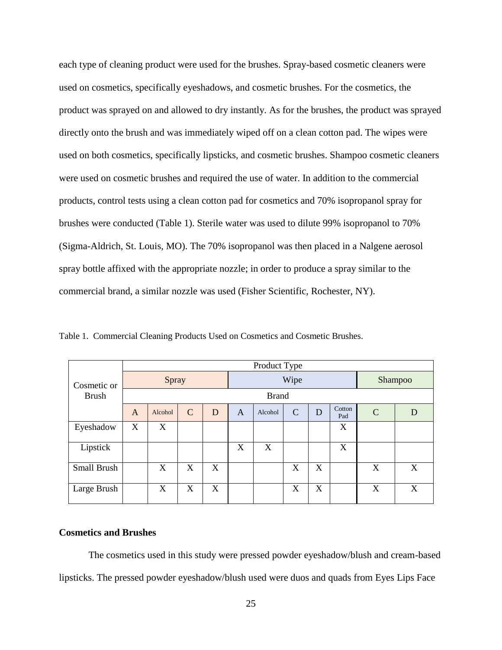each type of cleaning product were used for the brushes. Spray-based cosmetic cleaners were used on cosmetics, specifically eyeshadows, and cosmetic brushes. For the cosmetics, the product was sprayed on and allowed to dry instantly. As for the brushes, the product was sprayed directly onto the brush and was immediately wiped off on a clean cotton pad. The wipes were used on both cosmetics, specifically lipsticks, and cosmetic brushes. Shampoo cosmetic cleaners were used on cosmetic brushes and required the use of water. In addition to the commercial products, control tests using a clean cotton pad for cosmetics and 70% isopropanol spray for brushes were conducted (Table 1). Sterile water was used to dilute 99% isopropanol to 70% (Sigma-Aldrich, St. Louis, MO). The 70% isopropanol was then placed in a Nalgene aerosol spray bottle affixed with the appropriate nozzle; in order to produce a spray similar to the commercial brand, a similar nozzle was used (Fisher Scientific, Rochester, NY).

Table 1. Commercial Cleaning Products Used on Cosmetics and Cosmetic Brushes.

|              |              |         |   |      |   | Product Type |   |         |               |               |   |
|--------------|--------------|---------|---|------|---|--------------|---|---------|---------------|---------------|---|
| Cosmetic or  | Spray        |         |   | Wipe |   |              |   | Shampoo |               |               |   |
| <b>Brush</b> | <b>Brand</b> |         |   |      |   |              |   |         |               |               |   |
|              | A            | Alcohol | C | D    | A | Alcohol      | C | D       | Cotton<br>Pad | $\mathcal{C}$ | D |
| Eyeshadow    | X            | X       |   |      |   |              |   |         | X             |               |   |
| Lipstick     |              |         |   |      | X | X            |   |         | X             |               |   |
| Small Brush  |              | X       | X | X    |   |              | X | X       |               | X             | X |
| Large Brush  |              | X       | X | X    |   |              | X | X       |               | X             | X |

#### **Cosmetics and Brushes**

The cosmetics used in this study were pressed powder eyeshadow/blush and cream-based lipsticks. The pressed powder eyeshadow/blush used were duos and quads from Eyes Lips Face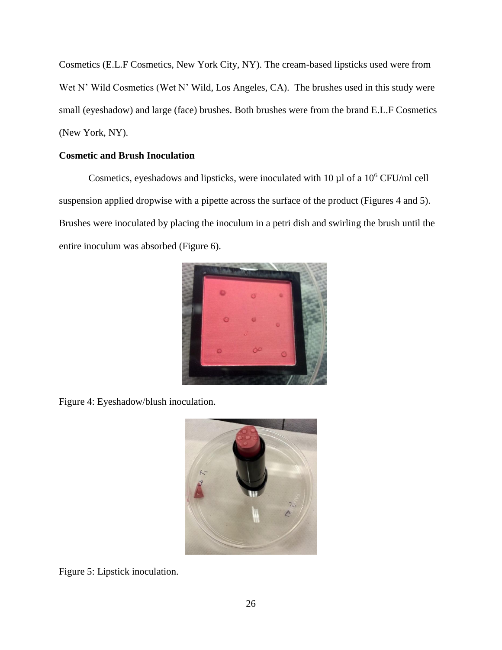Cosmetics (E.L.F Cosmetics, New York City, NY). The cream-based lipsticks used were from Wet N' Wild Cosmetics (Wet N' Wild, Los Angeles, CA). The brushes used in this study were small (eyeshadow) and large (face) brushes. Both brushes were from the brand E.L.F Cosmetics (New York, NY).

### **Cosmetic and Brush Inoculation**

Cosmetics, eyeshadows and lipsticks, were inoculated with 10 µl of a 10<sup>6</sup> CFU/ml cell suspension applied dropwise with a pipette across the surface of the product (Figures 4 and 5). Brushes were inoculated by placing the inoculum in a petri dish and swirling the brush until the entire inoculum was absorbed (Figure 6).



Figure 4: Eyeshadow/blush inoculation.



Figure 5: Lipstick inoculation.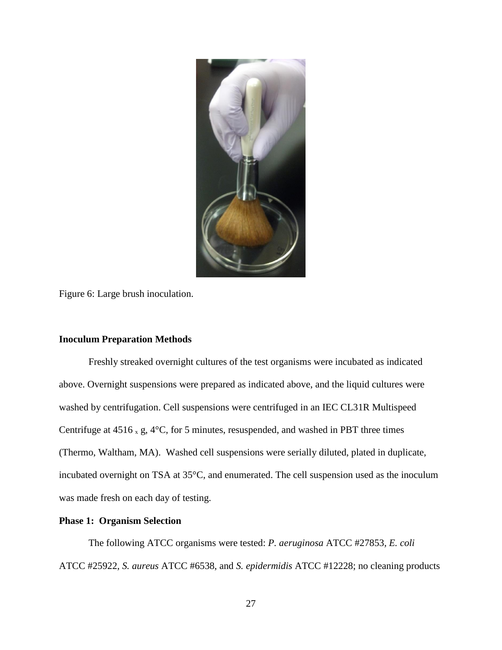

Figure 6: Large brush inoculation.

#### **Inoculum Preparation Methods**

Freshly streaked overnight cultures of the test organisms were incubated as indicated above. Overnight suspensions were prepared as indicated above, and the liquid cultures were washed by centrifugation. Cell suspensions were centrifuged in an IEC CL31R Multispeed Centrifuge at  $4516 \times g$ ,  $4^{\circ}$ C, for 5 minutes, resuspended, and washed in PBT three times (Thermo, Waltham, MA). Washed cell suspensions were serially diluted, plated in duplicate, incubated overnight on TSA at 35°C, and enumerated. The cell suspension used as the inoculum was made fresh on each day of testing.

#### **Phase 1: Organism Selection**

The following ATCC organisms were tested: *P. aeruginosa* ATCC #27853*, E. coli*  ATCC #25922*, S. aureus* ATCC #6538, and *S. epidermidis* ATCC #12228; no cleaning products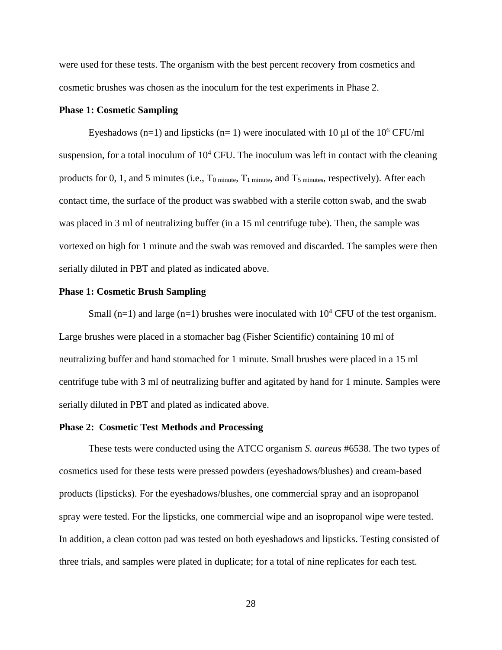were used for these tests. The organism with the best percent recovery from cosmetics and cosmetic brushes was chosen as the inoculum for the test experiments in Phase 2.

#### **Phase 1: Cosmetic Sampling**

Eyeshadows (n=1) and lipsticks (n= 1) were inoculated with 10  $\mu$ l of the 10<sup>6</sup> CFU/ml suspension, for a total inoculum of  $10<sup>4</sup>$  CFU. The inoculum was left in contact with the cleaning products for 0, 1, and 5 minutes (i.e.,  $T_0$  minute,  $T_1$  minute, and  $T_5$  minutes, respectively). After each contact time, the surface of the product was swabbed with a sterile cotton swab, and the swab was placed in 3 ml of neutralizing buffer (in a 15 ml centrifuge tube). Then, the sample was vortexed on high for 1 minute and the swab was removed and discarded. The samples were then serially diluted in PBT and plated as indicated above.

#### **Phase 1: Cosmetic Brush Sampling**

Small (n=1) and large (n=1) brushes were inoculated with  $10^4$  CFU of the test organism. Large brushes were placed in a stomacher bag (Fisher Scientific) containing 10 ml of neutralizing buffer and hand stomached for 1 minute. Small brushes were placed in a 15 ml centrifuge tube with 3 ml of neutralizing buffer and agitated by hand for 1 minute. Samples were serially diluted in PBT and plated as indicated above.

#### **Phase 2: Cosmetic Test Methods and Processing**

These tests were conducted using the ATCC organism *S. aureus* #6538. The two types of cosmetics used for these tests were pressed powders (eyeshadows/blushes) and cream-based products (lipsticks). For the eyeshadows/blushes, one commercial spray and an isopropanol spray were tested. For the lipsticks, one commercial wipe and an isopropanol wipe were tested. In addition, a clean cotton pad was tested on both eyeshadows and lipsticks. Testing consisted of three trials, and samples were plated in duplicate; for a total of nine replicates for each test.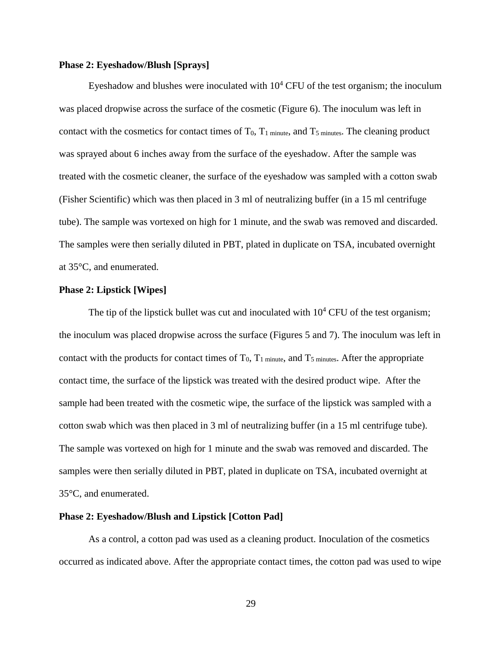#### **Phase 2: Eyeshadow/Blush [Sprays]**

Eyeshadow and blushes were inoculated with  $10<sup>4</sup>$  CFU of the test organism; the inoculum was placed dropwise across the surface of the cosmetic (Figure 6). The inoculum was left in contact with the cosmetics for contact times of  $T_0$ ,  $T_1$  minute, and  $T_5$  minutes. The cleaning product was sprayed about 6 inches away from the surface of the eyeshadow. After the sample was treated with the cosmetic cleaner, the surface of the eyeshadow was sampled with a cotton swab (Fisher Scientific) which was then placed in 3 ml of neutralizing buffer (in a 15 ml centrifuge tube). The sample was vortexed on high for 1 minute, and the swab was removed and discarded. The samples were then serially diluted in PBT, plated in duplicate on TSA, incubated overnight at 35°C, and enumerated.

#### **Phase 2: Lipstick [Wipes]**

The tip of the lipstick bullet was cut and inoculated with  $10^4$  CFU of the test organism; the inoculum was placed dropwise across the surface (Figures 5 and 7). The inoculum was left in contact with the products for contact times of  $T_0$ ,  $T_1$  minute, and  $T_5$  minutes. After the appropriate contact time, the surface of the lipstick was treated with the desired product wipe. After the sample had been treated with the cosmetic wipe, the surface of the lipstick was sampled with a cotton swab which was then placed in 3 ml of neutralizing buffer (in a 15 ml centrifuge tube). The sample was vortexed on high for 1 minute and the swab was removed and discarded. The samples were then serially diluted in PBT, plated in duplicate on TSA, incubated overnight at 35°C, and enumerated.

#### **Phase 2: Eyeshadow/Blush and Lipstick [Cotton Pad]**

As a control, a cotton pad was used as a cleaning product. Inoculation of the cosmetics occurred as indicated above. After the appropriate contact times, the cotton pad was used to wipe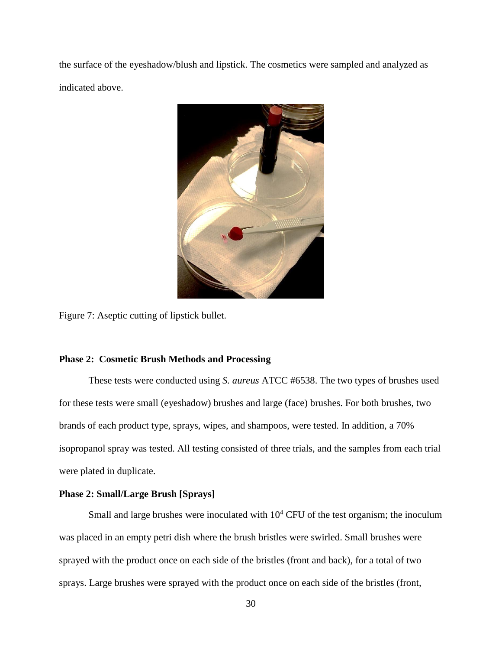the surface of the eyeshadow/blush and lipstick. The cosmetics were sampled and analyzed as indicated above.



Figure 7: Aseptic cutting of lipstick bullet.

#### **Phase 2: Cosmetic Brush Methods and Processing**

These tests were conducted using *S. aureus* ATCC #6538. The two types of brushes used for these tests were small (eyeshadow) brushes and large (face) brushes. For both brushes, two brands of each product type, sprays, wipes, and shampoos, were tested. In addition, a 70% isopropanol spray was tested. All testing consisted of three trials, and the samples from each trial were plated in duplicate.

### **Phase 2: Small/Large Brush [Sprays]**

Small and large brushes were inoculated with  $10<sup>4</sup>$  CFU of the test organism; the inoculum was placed in an empty petri dish where the brush bristles were swirled. Small brushes were sprayed with the product once on each side of the bristles (front and back), for a total of two sprays. Large brushes were sprayed with the product once on each side of the bristles (front,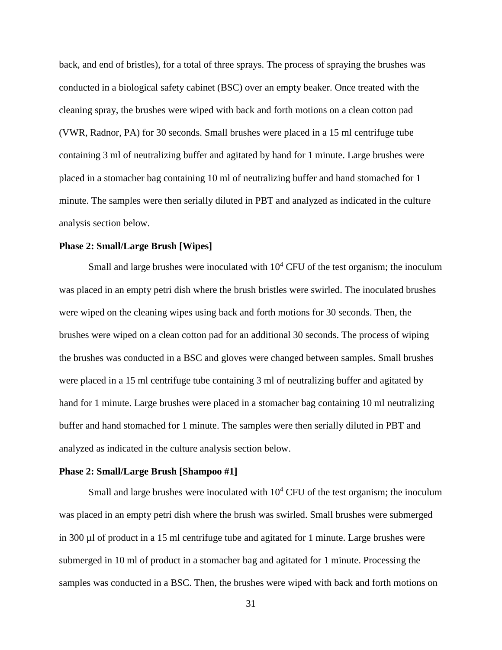back, and end of bristles), for a total of three sprays. The process of spraying the brushes was conducted in a biological safety cabinet (BSC) over an empty beaker. Once treated with the cleaning spray, the brushes were wiped with back and forth motions on a clean cotton pad (VWR, Radnor, PA) for 30 seconds. Small brushes were placed in a 15 ml centrifuge tube containing 3 ml of neutralizing buffer and agitated by hand for 1 minute. Large brushes were placed in a stomacher bag containing 10 ml of neutralizing buffer and hand stomached for 1 minute. The samples were then serially diluted in PBT and analyzed as indicated in the culture analysis section below.

#### **Phase 2: Small/Large Brush [Wipes]**

Small and large brushes were inoculated with  $10<sup>4</sup>$  CFU of the test organism; the inoculum was placed in an empty petri dish where the brush bristles were swirled. The inoculated brushes were wiped on the cleaning wipes using back and forth motions for 30 seconds. Then, the brushes were wiped on a clean cotton pad for an additional 30 seconds. The process of wiping the brushes was conducted in a BSC and gloves were changed between samples. Small brushes were placed in a 15 ml centrifuge tube containing 3 ml of neutralizing buffer and agitated by hand for 1 minute. Large brushes were placed in a stomacher bag containing 10 ml neutralizing buffer and hand stomached for 1 minute. The samples were then serially diluted in PBT and analyzed as indicated in the culture analysis section below.

#### **Phase 2: Small/Large Brush [Shampoo #1]**

Small and large brushes were inoculated with  $10<sup>4</sup>$  CFU of the test organism; the inoculum was placed in an empty petri dish where the brush was swirled. Small brushes were submerged in 300 µl of product in a 15 ml centrifuge tube and agitated for 1 minute. Large brushes were submerged in 10 ml of product in a stomacher bag and agitated for 1 minute. Processing the samples was conducted in a BSC. Then, the brushes were wiped with back and forth motions on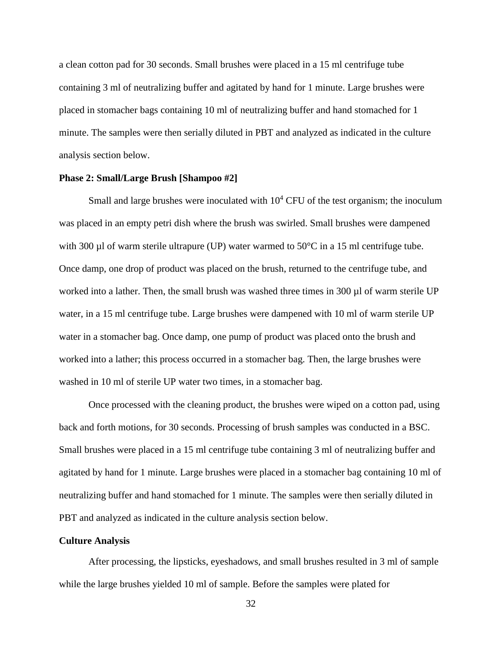a clean cotton pad for 30 seconds. Small brushes were placed in a 15 ml centrifuge tube containing 3 ml of neutralizing buffer and agitated by hand for 1 minute. Large brushes were placed in stomacher bags containing 10 ml of neutralizing buffer and hand stomached for 1 minute. The samples were then serially diluted in PBT and analyzed as indicated in the culture analysis section below.

#### **Phase 2: Small/Large Brush [Shampoo #2]**

Small and large brushes were inoculated with  $10<sup>4</sup>$  CFU of the test organism; the inoculum was placed in an empty petri dish where the brush was swirled. Small brushes were dampened with 300  $\mu$ l of warm sterile ultrapure (UP) water warmed to 50 $\degree$ C in a 15 ml centrifuge tube. Once damp, one drop of product was placed on the brush, returned to the centrifuge tube, and worked into a lather. Then, the small brush was washed three times in 300 µl of warm sterile UP water, in a 15 ml centrifuge tube. Large brushes were dampened with 10 ml of warm sterile UP water in a stomacher bag. Once damp, one pump of product was placed onto the brush and worked into a lather; this process occurred in a stomacher bag. Then, the large brushes were washed in 10 ml of sterile UP water two times, in a stomacher bag.

Once processed with the cleaning product, the brushes were wiped on a cotton pad, using back and forth motions, for 30 seconds. Processing of brush samples was conducted in a BSC. Small brushes were placed in a 15 ml centrifuge tube containing 3 ml of neutralizing buffer and agitated by hand for 1 minute. Large brushes were placed in a stomacher bag containing 10 ml of neutralizing buffer and hand stomached for 1 minute. The samples were then serially diluted in PBT and analyzed as indicated in the culture analysis section below.

#### **Culture Analysis**

After processing, the lipsticks, eyeshadows, and small brushes resulted in 3 ml of sample while the large brushes yielded 10 ml of sample. Before the samples were plated for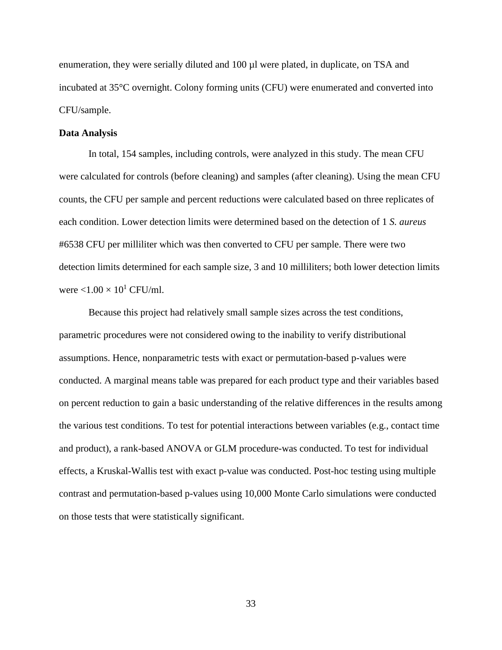enumeration, they were serially diluted and 100 µl were plated, in duplicate, on TSA and incubated at 35°C overnight. Colony forming units (CFU) were enumerated and converted into CFU/sample.

#### **Data Analysis**

In total, 154 samples, including controls, were analyzed in this study. The mean CFU were calculated for controls (before cleaning) and samples (after cleaning). Using the mean CFU counts, the CFU per sample and percent reductions were calculated based on three replicates of each condition. Lower detection limits were determined based on the detection of 1 *S. aureus*  #6538 CFU per milliliter which was then converted to CFU per sample. There were two detection limits determined for each sample size, 3 and 10 milliliters; both lower detection limits were  $\langle 1.00 \times 10^1 \text{ CFU/ml.}$ 

Because this project had relatively small sample sizes across the test conditions, parametric procedures were not considered owing to the inability to verify distributional assumptions. Hence, nonparametric tests with exact or permutation-based p-values were conducted. A marginal means table was prepared for each product type and their variables based on percent reduction to gain a basic understanding of the relative differences in the results among the various test conditions. To test for potential interactions between variables (e.g., contact time and product), a rank-based ANOVA or GLM procedure-was conducted. To test for individual effects, a Kruskal-Wallis test with exact p-value was conducted. Post-hoc testing using multiple contrast and permutation-based p-values using 10,000 Monte Carlo simulations were conducted on those tests that were statistically significant.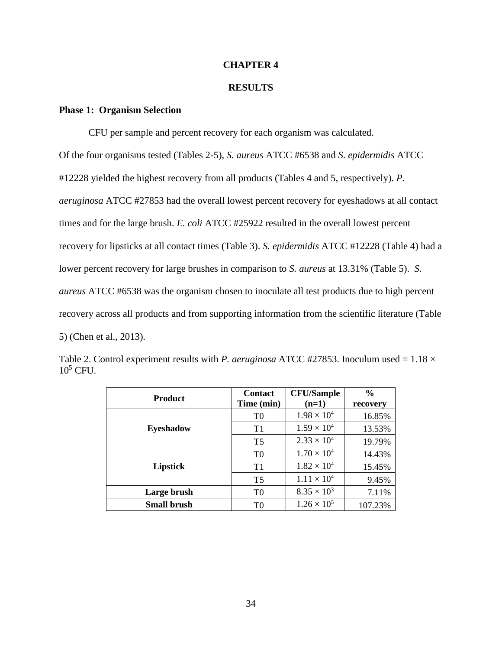#### **CHAPTER 4**

#### **RESULTS**

#### **Phase 1: Organism Selection**

CFU per sample and percent recovery for each organism was calculated. Of the four organisms tested (Tables 2-5), *S. aureus* ATCC #6538 and *S. epidermidis* ATCC #12228 yielded the highest recovery from all products (Tables 4 and 5, respectively). *P. aeruginosa* ATCC #27853 had the overall lowest percent recovery for eyeshadows at all contact times and for the large brush. *E. coli* ATCC #25922 resulted in the overall lowest percent recovery for lipsticks at all contact times (Table 3). *S. epidermidis* ATCC #12228 (Table 4) had a lower percent recovery for large brushes in comparison to *S. aureus* at 13.31% (Table 5). *S. aureus* ATCC #6538 was the organism chosen to inoculate all test products due to high percent recovery across all products and from supporting information from the scientific literature (Table 5) (Chen et al., 2013).

| <b>Product</b>     | <b>Contact</b><br>Time (min) | <b>CFU/Sample</b><br>$(n=1)$ | $\frac{6}{9}$<br>recovery |
|--------------------|------------------------------|------------------------------|---------------------------|
|                    | T <sub>0</sub>               | $1.98 \times 10^{4}$         | 16.85%                    |
| <b>Eyeshadow</b>   | T1                           | $1.59 \times 10^{4}$         | 13.53%                    |
|                    | T <sub>5</sub>               | $2.33 \times 10^{4}$         | 19.79%                    |
| Lipstick           | T <sub>0</sub>               | $1.70 \times 10^{4}$         | 14.43%                    |
|                    | T1                           | $1.82 \times 10^{4}$         | 15.45%                    |
|                    | T <sub>5</sub>               | $1.11 \times 10^{4}$         | 9.45%                     |
| Large brush        | T <sub>0</sub>               | $8.35 \times 10^{3}$         | 7.11%                     |
| <b>Small brush</b> | T0                           | $1.26 \times 10^{5}$         | 107.23%                   |

Table 2. Control experiment results with *P. aeruginosa* ATCC #27853. Inoculum used =  $1.18 \times$  $10^5$  CFU.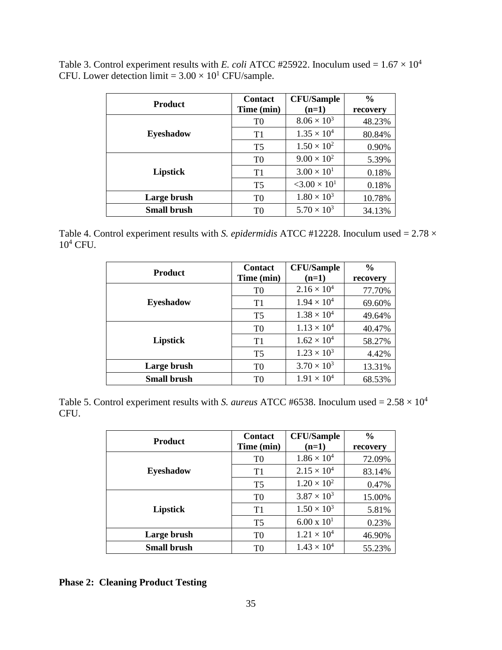| <b>Product</b>     | <b>Contact</b> | <b>CFU/Sample</b>                 | $\frac{6}{9}$ |
|--------------------|----------------|-----------------------------------|---------------|
|                    | Time (min)     | $(n=1)$                           | recovery      |
|                    | T <sub>0</sub> | $8.06 \times 10^{3}$              | 48.23%        |
| <b>Eyeshadow</b>   | T1             | $1.35 \times 10^{4}$              | 80.84%        |
|                    | T <sub>5</sub> | $1.50 \times 10^{2}$              | 0.90%         |
|                    | T <sub>0</sub> | $9.00 \times 10^{2}$              | 5.39%         |
| Lipstick           | T1             | $3.00 \times 10^{1}$              | 0.18%         |
|                    | T <sub>5</sub> | $<$ 3.00 $\times$ 10 <sup>1</sup> | 0.18%         |
| Large brush        | T0             | $1.80 \times 10^{3}$              | 10.78%        |
| <b>Small brush</b> | T0             | $5.70 \times 10^{3}$              | 34.13%        |

Table 3. Control experiment results with *E. coli* ATCC #25922. Inoculum used =  $1.67 \times 10^4$ CFU. Lower detection limit =  $3.00 \times 10^{1}$  CFU/sample.

Table 4. Control experiment results with *S. epidermidis* ATCC #12228. Inoculum used = 2.78  $\times$  $10^4$  CFU.

| <b>Product</b>     | <b>Contact</b> | <b>CFU/Sample</b>    | $\frac{0}{0}$ |
|--------------------|----------------|----------------------|---------------|
|                    | Time (min)     | $(n=1)$              | recovery      |
|                    | T <sub>0</sub> | $2.16 \times 10^{4}$ | 77.70%        |
| <b>Eyeshadow</b>   | T1             | $1.94 \times 10^{4}$ | 69.60%        |
|                    | T <sub>5</sub> | $1.38 \times 10^{4}$ | 49.64%        |
| Lipstick           | T <sub>0</sub> | $1.13 \times 10^{4}$ | 40.47%        |
|                    | T1             | $1.62 \times 10^{4}$ | 58.27%        |
|                    | T <sub>5</sub> | $1.23 \times 10^{3}$ | 4.42%         |
| Large brush        | T <sub>0</sub> | $3.70 \times 10^{3}$ | 13.31%        |
| <b>Small brush</b> | T0             | $1.91 \times 10^{4}$ | 68.53%        |

Table 5. Control experiment results with *S. aureus* ATCC #6538. Inoculum used =  $2.58 \times 10^4$ CFU.

| <b>Product</b>     | <b>Contact</b> | <b>CFU/Sample</b>    | $\frac{0}{0}$ |
|--------------------|----------------|----------------------|---------------|
|                    | Time (min)     | $(n=1)$              | recovery      |
|                    | T <sub>0</sub> | $1.86 \times 10^{4}$ | 72.09%        |
| <b>Eyeshadow</b>   | T1             | $2.15 \times 10^{4}$ | 83.14%        |
|                    | T <sub>5</sub> | $1.20 \times 10^{2}$ | 0.47%         |
|                    | T <sub>0</sub> | $3.87 \times 10^{3}$ | 15.00%        |
| Lipstick           | T1             | $1.50 \times 10^3$   | 5.81%         |
|                    | T <sub>5</sub> | $6.00 \times 10^{1}$ | 0.23%         |
| Large brush        | T <sub>0</sub> | $1.21 \times 10^{4}$ | 46.90%        |
| <b>Small brush</b> | T <sub>0</sub> | $1.43 \times 10^{4}$ | 55.23%        |

**Phase 2: Cleaning Product Testing**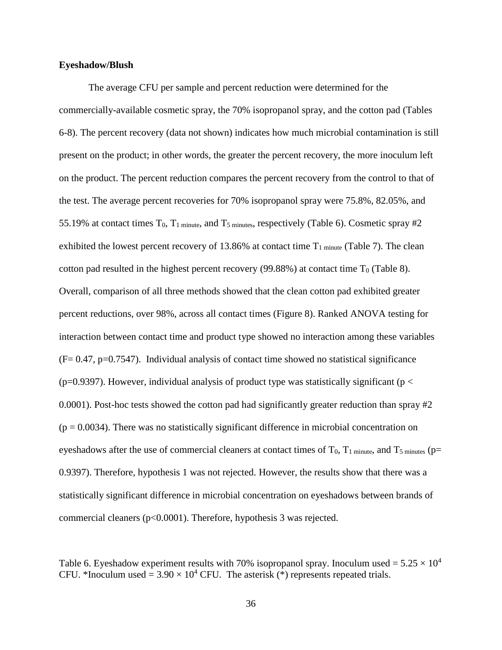#### **Eyeshadow/Blush**

The average CFU per sample and percent reduction were determined for the commercially-available cosmetic spray, the 70% isopropanol spray, and the cotton pad (Tables 6-8). The percent recovery (data not shown) indicates how much microbial contamination is still present on the product; in other words, the greater the percent recovery, the more inoculum left on the product. The percent reduction compares the percent recovery from the control to that of the test. The average percent recoveries for 70% isopropanol spray were 75.8%, 82.05%, and 55.19% at contact times  $T_0$ ,  $T_1$  minute, and  $T_5$  minutes, respectively (Table 6). Cosmetic spray #2 exhibited the lowest percent recovery of 13.86% at contact time  $T_1$  minute (Table 7). The clean cotton pad resulted in the highest percent recovery (99.88%) at contact time  $T_0$  (Table 8). Overall, comparison of all three methods showed that the clean cotton pad exhibited greater percent reductions, over 98%, across all contact times (Figure 8). Ranked ANOVA testing for interaction between contact time and product type showed no interaction among these variables  $(F= 0.47, p=0.7547)$ . Individual analysis of contact time showed no statistical significance ( $p=0.9397$ ). However, individual analysis of product type was statistically significant ( $p <$ 0.0001). Post-hoc tests showed the cotton pad had significantly greater reduction than spray #2  $(p = 0.0034)$ . There was no statistically significant difference in microbial concentration on eyeshadows after the use of commercial cleaners at contact times of  $T_0$ ,  $T_1$  minute, and  $T_5$  minutes (p= 0.9397). Therefore, hypothesis 1 was not rejected. However, the results show that there was a statistically significant difference in microbial concentration on eyeshadows between brands of commercial cleaners (p<0.0001). Therefore, hypothesis 3 was rejected.

Table 6. Eyeshadow experiment results with 70% isopropanol spray. Inoculum used =  $5.25 \times 10^4$ CFU. \*Inoculum used =  $3.90 \times 10^4$  CFU. The asterisk (\*) represents repeated trials.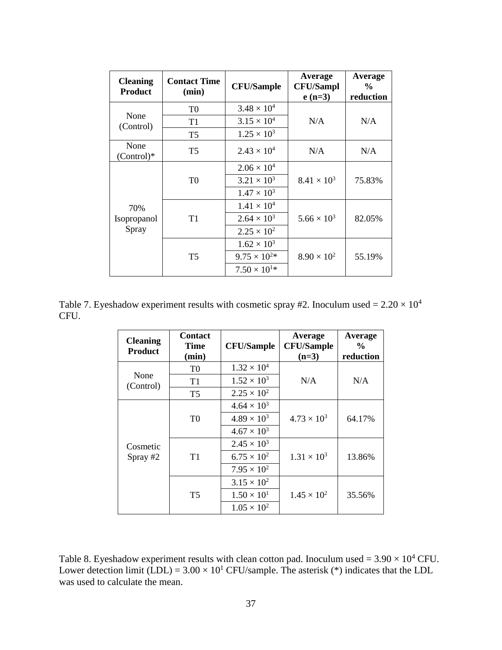| <b>Cleaning</b><br><b>Product</b> | <b>Contact Time</b><br>(min) | <b>CFU/Sample</b>     | Average<br><b>CFU/Sampl</b><br>$e(n=3)$ | Average<br>$\frac{0}{0}$<br>reduction |  |
|-----------------------------------|------------------------------|-----------------------|-----------------------------------------|---------------------------------------|--|
|                                   | T <sub>0</sub>               | $3.48 \times 10^{4}$  |                                         |                                       |  |
| None<br>(Control)                 | T1                           | $3.15 \times 10^{4}$  | N/A                                     | N/A                                   |  |
|                                   | T <sub>5</sub>               | $1.25 \times 10^{3}$  |                                         |                                       |  |
| None<br>$(Control)*$              | T <sub>5</sub>               | $2.43 \times 10^{4}$  | N/A                                     | N/A                                   |  |
|                                   | T <sub>0</sub>               | $2.06 \times 10^{4}$  | $8.41 \times 10^{3}$                    | 75.83%                                |  |
|                                   |                              | $3.21 \times 10^{3}$  |                                         |                                       |  |
|                                   |                              | $1.47 \times 10^{3}$  |                                         |                                       |  |
| 70%                               |                              | $1.41 \times 10^{4}$  |                                         |                                       |  |
| Isopropanol                       | T <sub>1</sub>               | $2.64 \times 10^{3}$  | $5.66 \times 10^{3}$                    | 82.05%                                |  |
| Spray                             |                              | $2.25 \times 10^{2}$  |                                         |                                       |  |
|                                   |                              | $1.62 \times 10^{3}$  |                                         |                                       |  |
|                                   | T <sub>5</sub>               | $9.75 \times 10^{2*}$ | $8.90 \times 10^{2}$                    | 55.19%                                |  |
|                                   |                              | $7.50 \times 10^{1*}$ |                                         |                                       |  |

Table 7. Eyeshadow experiment results with cosmetic spray #2. Inoculum used =  $2.20 \times 10^4$ CFU.

| <b>Cleaning</b><br><b>Product</b> | <b>Contact</b><br>Time<br>(min) | <b>CFU/Sample</b>    | Average<br><b>CFU/Sample</b><br>$(n=3)$ | Average<br>$\frac{6}{9}$<br>reduction |
|-----------------------------------|---------------------------------|----------------------|-----------------------------------------|---------------------------------------|
|                                   | T <sub>0</sub>                  | $1.32 \times 10^{4}$ |                                         |                                       |
| None<br>(Control)                 | T1                              | $1.52 \times 10^{3}$ | N/A                                     | N/A                                   |
|                                   | T <sub>5</sub>                  | $2.25 \times 10^{2}$ |                                         |                                       |
|                                   |                                 | $4.64 \times 10^{3}$ |                                         |                                       |
|                                   | T <sub>0</sub>                  | $4.89 \times 10^{3}$ | $4.73 \times 10^{3}$                    | 64.17%                                |
|                                   |                                 | $4.67 \times 10^{3}$ |                                         |                                       |
| Cosmetic                          |                                 | $2.45 \times 10^{3}$ |                                         |                                       |
| Spray #2                          | T1                              | $6.75 \times 10^{2}$ | $1.31 \times 10^{3}$                    | 13.86%                                |
|                                   |                                 | $7.95 \times 10^{2}$ |                                         |                                       |
|                                   |                                 | $3.15 \times 10^{2}$ |                                         |                                       |
|                                   | T <sub>5</sub>                  | $1.50 \times 10^{1}$ | $1.45 \times 10^{2}$                    | 35.56%                                |
|                                   |                                 | $1.05 \times 10^{2}$ |                                         |                                       |

Table 8. Eyeshadow experiment results with clean cotton pad. Inoculum used =  $3.90 \times 10^4$  CFU. Lower detection limit (LDL) =  $3.00 \times 10^{1}$  CFU/sample. The asterisk (\*) indicates that the LDL was used to calculate the mean.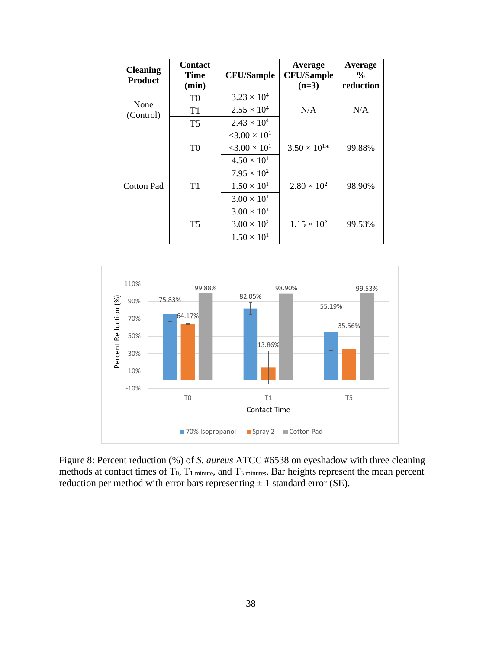| <b>Cleaning</b><br><b>Product</b> | <b>Contact</b><br>Time<br>(min) | <b>CFU/Sample</b>                                                                              | Average<br><b>CFU/Sample</b><br>$(n=3)$ | Average<br>$\frac{0}{0}$<br>reduction |
|-----------------------------------|---------------------------------|------------------------------------------------------------------------------------------------|-----------------------------------------|---------------------------------------|
|                                   | T <sub>0</sub>                  | $3.23 \times 10^{4}$                                                                           |                                         |                                       |
| None<br>(Control)                 | T1                              | $2.55 \times 10^{4}$                                                                           | N/A                                     | N/A                                   |
|                                   | T <sub>5</sub>                  | $2.43 \times 10^{4}$                                                                           |                                         |                                       |
|                                   | T <sub>0</sub>                  | $<$ 3.00 $\times$ 10 <sup>1</sup><br>$<$ 3.00 $\times$ 10 <sup>1</sup><br>$4.50 \times 10^{1}$ | $3.50 \times 10^{1*}$                   | 99.88%                                |
| Cotton Pad                        | T1                              | $7.95 \times 10^{2}$<br>$1.50 \times 10^{1}$<br>$3.00 \times 10^{1}$                           | $2.80 \times 10^{2}$                    | 98.90%                                |
|                                   | <b>T5</b>                       | $3.00 \times 10^{1}$<br>$3.00 \times 10^{2}$<br>$1.50 \times 10^{1}$                           | $1.15 \times 10^{2}$                    | 99.53%                                |



Figure 8: Percent reduction (%) of *S. aureus* ATCC #6538 on eyeshadow with three cleaning methods at contact times of T<sub>0</sub>, T<sub>1</sub> minute, and T<sub>5</sub> minutes. Bar heights represent the mean percent reduction per method with error bars representing  $\pm$  1 standard error (SE).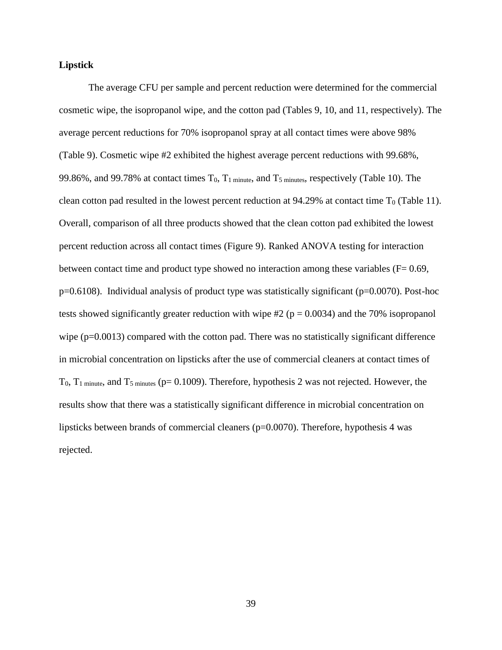#### **Lipstick**

The average CFU per sample and percent reduction were determined for the commercial cosmetic wipe, the isopropanol wipe, and the cotton pad (Tables 9, 10, and 11, respectively). The average percent reductions for 70% isopropanol spray at all contact times were above 98% (Table 9). Cosmetic wipe #2 exhibited the highest average percent reductions with 99.68%, 99.86%, and 99.78% at contact times T<sub>0</sub>, T<sub>1</sub> minute, and T<sub>5</sub> minutes, respectively (Table 10). The clean cotton pad resulted in the lowest percent reduction at  $94.29\%$  at contact time T<sub>0</sub> (Table 11). Overall, comparison of all three products showed that the clean cotton pad exhibited the lowest percent reduction across all contact times (Figure 9). Ranked ANOVA testing for interaction between contact time and product type showed no interaction among these variables (F= 0.69, p=0.6108). Individual analysis of product type was statistically significant (p=0.0070). Post-hoc tests showed significantly greater reduction with wipe  $\#2$  ( $p = 0.0034$ ) and the 70% isopropanol wipe (p=0.0013) compared with the cotton pad. There was no statistically significant difference in microbial concentration on lipsticks after the use of commercial cleaners at contact times of  $T_0$ ,  $T_1$  minute, and  $T_5$  minutes (p= 0.1009). Therefore, hypothesis 2 was not rejected. However, the results show that there was a statistically significant difference in microbial concentration on lipsticks between brands of commercial cleaners ( $p=0.0070$ ). Therefore, hypothesis 4 was rejected.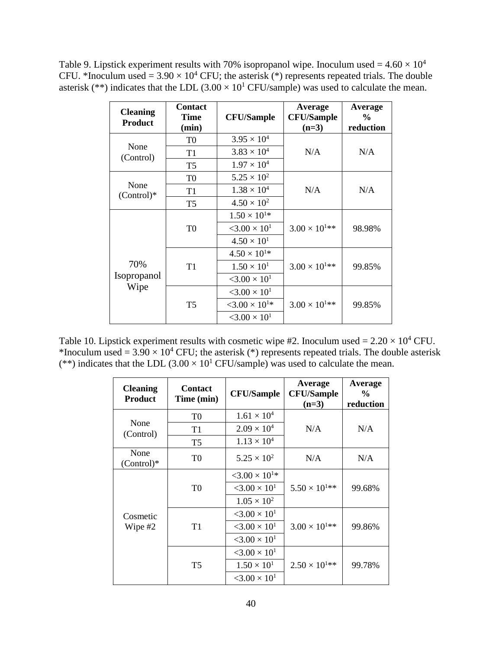Table 9. Lipstick experiment results with 70% isopropanol wipe. Inoculum used =  $4.60 \times 10^4$ CFU. \*Inoculum used =  $3.90 \times 10^4$  CFU; the asterisk (\*) represents repeated trials. The double asterisk (\*\*) indicates that the LDL  $(3.00 \times 10^{1}$  CFU/sample) was used to calculate the mean.

| <b>Cleaning</b><br><b>Product</b> | <b>Contact</b><br><b>Time</b><br>(min) | <b>CFU/Sample</b>                 | Average<br><b>CFU/Sample</b><br>$(n=3)$ | Average<br>$\frac{0}{0}$<br>reduction |
|-----------------------------------|----------------------------------------|-----------------------------------|-----------------------------------------|---------------------------------------|
|                                   | T <sub>0</sub>                         | $3.95 \times 10^{4}$              |                                         |                                       |
| None<br>(Control)                 | T1                                     | $3.83 \times 10^{4}$              | N/A                                     | N/A                                   |
|                                   | T <sub>5</sub>                         | $1.97 \times 10^{4}$              |                                         |                                       |
|                                   | T <sub>0</sub>                         | $5.25 \times 10^{2}$              |                                         |                                       |
| None<br>$(Control)*$              | T1                                     | $1.38 \times 10^{4}$              | N/A                                     | N/A                                   |
|                                   | T <sub>5</sub>                         | $4.50 \times 10^{2}$              |                                         |                                       |
|                                   |                                        | $1.50 \times 10^{1*}$             |                                         |                                       |
|                                   | T <sub>0</sub>                         | $<$ 3.00 $\times$ 10 <sup>1</sup> | $3.00 \times 10^{1**}$                  | 98.98%                                |
|                                   |                                        | $4.50 \times 10^{1}$              |                                         |                                       |
|                                   |                                        | $4.50 \times 10^{1*}$             |                                         |                                       |
| 70%                               | T1                                     | $1.50 \times 10^{1}$              | $3.00 \times 10^{1**}$                  | 99.85%                                |
| Isopropanol<br>Wipe               |                                        | $<$ 3.00 $\times$ 10 <sup>1</sup> |                                         |                                       |
|                                   |                                        | $<$ 3.00 $\times$ 10 <sup>1</sup> |                                         |                                       |
|                                   | T <sub>5</sub>                         | $<3.00\times10^{1*}$              | $3.00 \times 10^{1**}$                  | 99.85%                                |
|                                   |                                        | $<$ 3.00 $\times$ 10 <sup>1</sup> |                                         |                                       |

Table 10. Lipstick experiment results with cosmetic wipe #2. Inoculum used =  $2.20 \times 10^4$  CFU. \*Inoculum used =  $3.90 \times 10^4$  CFU; the asterisk (\*) represents repeated trials. The double asterisk (\*\*) indicates that the LDL  $(3.00 \times 10^{1}$  CFU/sample) was used to calculate the mean.

| <b>Cleaning</b><br><b>Product</b> | <b>Contact</b><br>Time (min) | <b>CFU/Sample</b>                                            | Average<br><b>CFU/Sample</b><br>$(n=3)$ | Average<br>$\frac{0}{0}$<br>reduction |
|-----------------------------------|------------------------------|--------------------------------------------------------------|-----------------------------------------|---------------------------------------|
|                                   | T <sub>0</sub>               | $1.61 \times 10^{4}$                                         |                                         |                                       |
| None<br>(Control)                 | T1                           | $2.09 \times 10^{4}$                                         | N/A                                     | N/A                                   |
|                                   | T <sub>5</sub>               | $1.13 \times 10^{4}$                                         |                                         |                                       |
| None<br>$(Control)*$              | T <sub>0</sub>               | $5.25 \times 10^{2}$                                         | N/A                                     | N/A                                   |
|                                   | T <sub>0</sub>               | $< 3.00 \times 10^{1*}$<br>$<$ 3.00 $\times$ 10 <sup>1</sup> | $5.50 \times 10^{1**}$                  | 99.68%                                |
|                                   |                              | $1.05 \times 10^{2}$                                         |                                         |                                       |
| Cosmetic                          |                              | $<$ 3.00 $\times$ 10 <sup>1</sup>                            |                                         |                                       |
| Wipe #2                           | T <sub>1</sub>               | $< 3.00 \times 10^{1}$                                       | $3.00 \times 10^{1**}$                  | 99.86%                                |
|                                   |                              | $3.00 \times 10^{1}$                                         |                                         |                                       |
|                                   |                              | $<$ 3.00 $\times$ 10 <sup>1</sup>                            |                                         |                                       |
|                                   | T <sub>5</sub>               | $1.50 \times 10^{1}$                                         | $2.50 \times 10^{1**}$                  | 99.78%                                |
|                                   |                              | $<$ 3.00 $\times$ 10 <sup>1</sup>                            |                                         |                                       |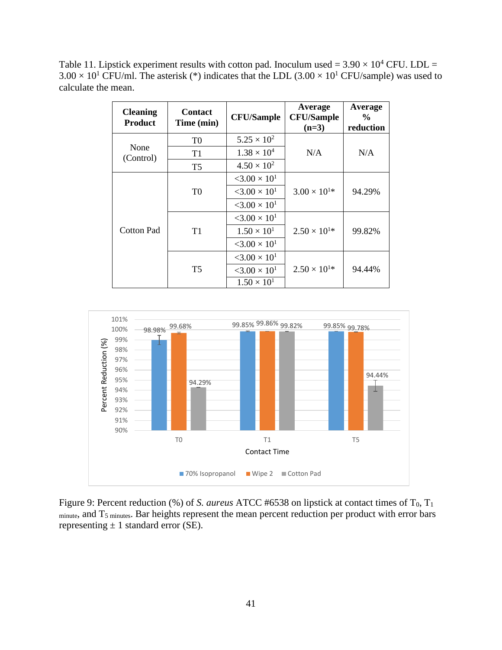Table 11. Lipstick experiment results with cotton pad. Inoculum used =  $3.90 \times 10^4$  CFU. LDL =  $3.00 \times 10^{1}$  CFU/ml. The asterisk (\*) indicates that the LDL (3.00  $\times 10^{1}$  CFU/sample) was used to calculate the mean.

| <b>Cleaning</b><br><b>Product</b> | <b>Contact</b><br>Time (min) | <b>CFU/Sample</b>                 | Average<br><b>CFU/Sample</b><br>$(n=3)$        | Average<br>$\frac{6}{9}$<br>reduction |
|-----------------------------------|------------------------------|-----------------------------------|------------------------------------------------|---------------------------------------|
|                                   | T <sub>0</sub>               | $5.25 \times 10^{2}$              |                                                |                                       |
| None<br>(Control)                 | T1                           | $1.38 \times 10^{4}$              | N/A                                            | N/A                                   |
|                                   | T <sub>5</sub>               | $4.50 \times 10^{2}$              |                                                |                                       |
|                                   | T <sub>0</sub>               | $<$ 3.00 $\times$ 10 <sup>1</sup> | $3.00 \times 10^{1*}$                          | 94.29%                                |
|                                   |                              | $< 3.00 \times 10^{1}$            |                                                |                                       |
|                                   |                              | $<$ 3.00 $\times$ 10 <sup>1</sup> |                                                |                                       |
|                                   | T1                           | $<$ 3.00 $\times$ 10 <sup>1</sup> | $2.50 \times 10^{1*}$<br>$2.50 \times 10^{1*}$ | 99.82%                                |
| Cotton Pad                        |                              | $1.50 \times 10^{1}$              |                                                |                                       |
|                                   |                              | $<$ 3.00 $\times$ 10 <sup>1</sup> |                                                |                                       |
|                                   |                              | $<$ 3.00 $\times$ 10 <sup>1</sup> |                                                | 94.44%                                |
|                                   | T <sub>5</sub>               | $< 3.00 \times 10^{1}$            |                                                |                                       |
|                                   |                              | $1.50 \times 10^{1}$              |                                                |                                       |



Figure 9: Percent reduction (%) of *S. aureus* ATCC #6538 on lipstick at contact times of T<sub>0</sub>, T<sub>1</sub> minute, and T<sub>5</sub> minutes. Bar heights represent the mean percent reduction per product with error bars representing  $\pm$  1 standard error (SE).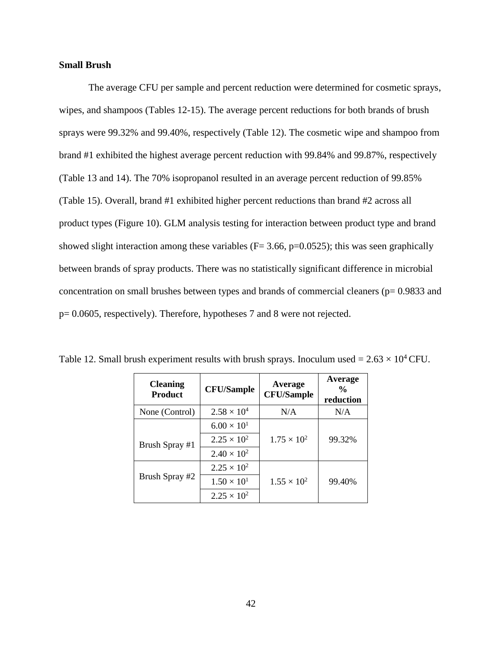#### **Small Brush**

The average CFU per sample and percent reduction were determined for cosmetic sprays, wipes, and shampoos (Tables 12-15). The average percent reductions for both brands of brush sprays were 99.32% and 99.40%, respectively (Table 12). The cosmetic wipe and shampoo from brand #1 exhibited the highest average percent reduction with 99.84% and 99.87%, respectively (Table 13 and 14). The 70% isopropanol resulted in an average percent reduction of 99.85% (Table 15). Overall, brand #1 exhibited higher percent reductions than brand #2 across all product types (Figure 10). GLM analysis testing for interaction between product type and brand showed slight interaction among these variables ( $F = 3.66$ ,  $p = 0.0525$ ); this was seen graphically between brands of spray products. There was no statistically significant difference in microbial concentration on small brushes between types and brands of commercial cleaners ( $p= 0.9833$  and p= 0.0605, respectively). Therefore, hypotheses 7 and 8 were not rejected.

| <b>Cleaning</b><br><b>Product</b> | <b>CFU/Sample</b>    | Average<br><b>CFU/Sample</b> | Average<br>$\frac{0}{0}$<br>reduction |
|-----------------------------------|----------------------|------------------------------|---------------------------------------|
| None (Control)                    | $2.58 \times 10^{4}$ | N/A                          | N/A                                   |
|                                   | $6.00 \times 10^{1}$ |                              |                                       |
| Brush Spray #1                    | $2.25 \times 10^{2}$ | $1.75 \times 10^{2}$         | 99.32%                                |
|                                   | $2.40 \times 10^{2}$ |                              |                                       |
|                                   | $2.25 \times 10^{2}$ |                              |                                       |
| Brush Spray #2                    | $1.50 \times 10^{1}$ | $1.55 \times 10^{2}$         | 99.40%                                |
|                                   | $2.25 \times 10^{2}$ |                              |                                       |

Table 12. Small brush experiment results with brush sprays. Inoculum used =  $2.63 \times 10^4$  CFU.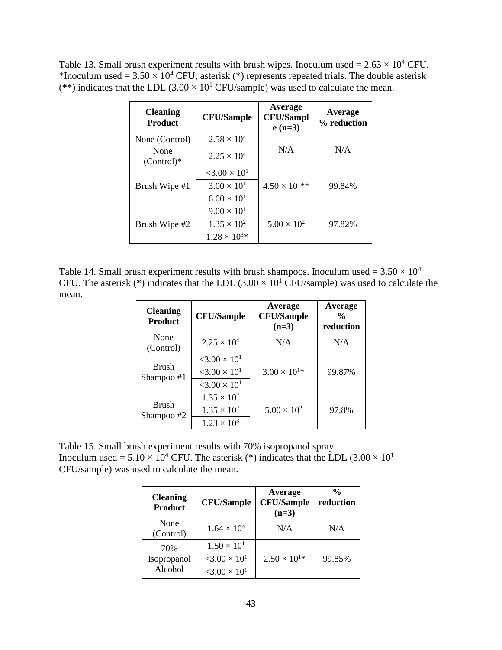Table 13. Small brush experiment results with brush wipes. Inoculum used =  $2.63 \times 10^4$  CFU. \*Inoculum used =  $3.50 \times 10^4$  CFU; asterisk (\*) represents repeated trials. The double asterisk (\*\*) indicates that the LDL  $(3.00 \times 10^{1} CFU/sample)$  was used to calculate the mean.

| <b>Cleaning</b><br><b>Product</b> | <b>CFU/Sample</b>                 | Average<br><b>CFU/Sampl</b><br>$e(n=3)$ | Average<br>% reduction |
|-----------------------------------|-----------------------------------|-----------------------------------------|------------------------|
| None (Control)                    | $2.58 \times 10^{4}$              |                                         |                        |
| None<br>$(Control)*$              | $2.25 \times 10^{4}$              | N/A                                     | N/A                    |
|                                   | $<$ 3.00 $\times$ 10 <sup>1</sup> | $4.50 \times 10^{1**}$                  | 99.84%                 |
| Brush Wipe #1                     | $3.00 \times 10^{1}$              |                                         |                        |
|                                   | $6.00 \times 10^{1}$              |                                         |                        |
|                                   | $9.00 \times 10^{1}$              |                                         |                        |
| Brush Wipe #2                     | $1.35 \times 10^{2}$              | $5.00 \times 10^{2}$                    | 97.82%                 |
|                                   | $1.28 \times 10^{3*}$             |                                         |                        |

Table 14. Small brush experiment results with brush shampoos. Inoculum used =  $3.50 \times 10^4$ CFU. The asterisk (\*) indicates that the LDL  $(3.00 \times 10^{1} \text{ CFU/sample})$  was used to calculate the mean.

| <b>Cleaning</b><br><b>Product</b> | <b>CFU/Sample</b>                 | Average<br><b>CFU/Sample</b><br>$(n=3)$ | Average<br>$\frac{0}{0}$<br>reduction |
|-----------------------------------|-----------------------------------|-----------------------------------------|---------------------------------------|
| None<br>(Control)                 | $2.25 \times 10^{4}$              | N/A                                     | N/A                                   |
| <b>Brush</b><br>Shampoo #1        | $<$ 3.00 $\times$ 10 <sup>1</sup> |                                         |                                       |
|                                   | $<$ 3.00 $\times$ 10 <sup>1</sup> | $3.00 \times 10^{1*}$                   | 99.87%                                |
|                                   | $<$ 3.00 $\times$ 10 <sup>1</sup> |                                         |                                       |
| <b>Brush</b><br>Shampoo #2        | $1.35 \times 10^{2}$              |                                         |                                       |
|                                   | $1.35 \times 10^{2}$              | $5.00 \times 10^{2}$                    | 97.8%                                 |
|                                   | $1.23 \times 10^{3}$              |                                         |                                       |

Table 15. Small brush experiment results with 70% isopropanol spray. Inoculum used =  $5.10 \times 10^4$  CFU. The asterisk (\*) indicates that the LDL (3.00  $\times 10^1$ CFU/sample) was used to calculate the mean.

| <b>Cleaning</b><br><b>Product</b> | <b>CFU/Sample</b>                              | Average<br><b>CFU/Sample</b><br>$(n=3)$ | $\frac{0}{0}$<br>reduction |
|-----------------------------------|------------------------------------------------|-----------------------------------------|----------------------------|
| None<br>(Control)                 | $1.64 \times 10^{4}$                           | N/A                                     | N/A                        |
| 70%<br>Isopropanol                | $1.50 \times 10^{1}$<br>$< 3.00 \times 10^{1}$ | $2.50 \times 10^{1*}$                   | 99.85%                     |
| Alcohol                           | $< 3.00 \times 10^{1}$                         |                                         |                            |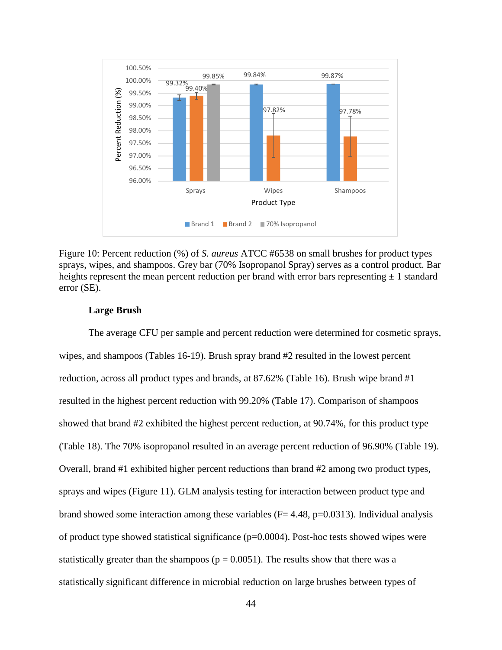

Figure 10: Percent reduction (%) of *S. aureus* ATCC #6538 on small brushes for product types sprays, wipes, and shampoos. Grey bar (70% Isopropanol Spray) serves as a control product. Bar heights represent the mean percent reduction per brand with error bars representing  $\pm 1$  standard error (SE).

#### **Large Brush**

The average CFU per sample and percent reduction were determined for cosmetic sprays, wipes, and shampoos (Tables 16-19). Brush spray brand #2 resulted in the lowest percent reduction, across all product types and brands, at 87.62% (Table 16). Brush wipe brand #1 resulted in the highest percent reduction with 99.20% (Table 17). Comparison of shampoos showed that brand #2 exhibited the highest percent reduction, at 90.74%, for this product type (Table 18). The 70% isopropanol resulted in an average percent reduction of 96.90% (Table 19). Overall, brand #1 exhibited higher percent reductions than brand #2 among two product types, sprays and wipes (Figure 11). GLM analysis testing for interaction between product type and brand showed some interaction among these variables ( $F= 4.48$ ,  $p=0.0313$ ). Individual analysis of product type showed statistical significance  $(p=0.0004)$ . Post-hoc tests showed wipes were statistically greater than the shampoos ( $p = 0.0051$ ). The results show that there was a statistically significant difference in microbial reduction on large brushes between types of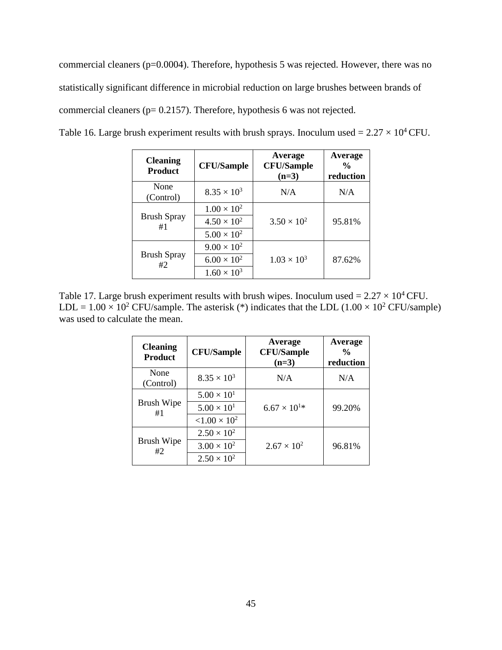commercial cleaners (p=0.0004). Therefore, hypothesis 5 was rejected. However, there was no statistically significant difference in microbial reduction on large brushes between brands of commercial cleaners (p= 0.2157). Therefore, hypothesis 6 was not rejected.

| <b>Cleaning</b><br><b>Product</b> | <b>CFU/Sample</b>    | Average<br><b>CFU/Sample</b><br>$(n=3)$ | Average<br>$\frac{0}{0}$<br>reduction |
|-----------------------------------|----------------------|-----------------------------------------|---------------------------------------|
| None<br>(Control)                 | $8.35 \times 10^{3}$ | N/A                                     | N/A                                   |
| <b>Brush Spray</b><br>#1          | $1.00 \times 10^{2}$ |                                         |                                       |
|                                   | $4.50 \times 10^{2}$ | $3.50 \times 10^{2}$                    | 95.81%                                |
|                                   | $5.00 \times 10^{2}$ |                                         |                                       |
| <b>Brush Spray</b><br>#2          | $9.00 \times 10^{2}$ |                                         |                                       |
|                                   | $6.00 \times 10^{2}$ | $1.03 \times 10^{3}$                    | 87.62%                                |
|                                   | $1.60 \times 10^{3}$ |                                         |                                       |

Table 16. Large brush experiment results with brush sprays. Inoculum used =  $2.27 \times 10^4$  CFU.

Table 17. Large brush experiment results with brush wipes. Inoculum used =  $2.27 \times 10^4$  CFU. LDL =  $1.00 \times 10^2$  CFU/sample. The asterisk (\*) indicates that the LDL (1.00  $\times 10^2$  CFU/sample) was used to calculate the mean.

| <b>Cleaning</b><br><b>Product</b> | <b>CFU/Sample</b>    | Average<br><b>CFU/Sample</b><br>$(n=3)$ | Average<br>$\frac{0}{0}$<br>reduction |
|-----------------------------------|----------------------|-----------------------------------------|---------------------------------------|
| None<br>(Control)                 | $8.35 \times 10^{3}$ | N/A                                     | N/A                                   |
| Brush Wipe<br>#1                  | $5.00 \times 10^{1}$ |                                         |                                       |
|                                   | $5.00 \times 10^{1}$ | $6.67 \times 10^{1*}$                   | 99.20%                                |
|                                   | $< 1.00 \times 10^2$ |                                         |                                       |
| <b>Brush Wipe</b><br>#2           | $2.50 \times 10^{2}$ |                                         |                                       |
|                                   | $3.00 \times 10^{2}$ | $2.67 \times 10^{2}$                    | 96.81%                                |
|                                   | $2.50 \times 10^{2}$ |                                         |                                       |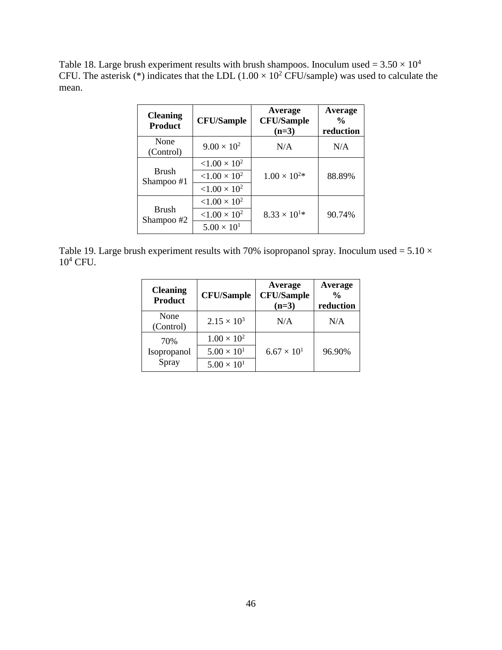Table 18. Large brush experiment results with brush shampoos. Inoculum used =  $3.50 \times 10^4$ CFU. The asterisk (\*) indicates that the LDL  $(1.00 \times 10^2 \text{ CFU/sample})$  was used to calculate the mean.

| <b>Cleaning</b><br><b>Product</b> | <b>CFU/Sample</b>    | Average<br><b>CFU/Sample</b><br>$(n=3)$ | Average<br>$\frac{0}{0}$<br>reduction |
|-----------------------------------|----------------------|-----------------------------------------|---------------------------------------|
| None<br>(Control)                 | $9.00 \times 10^{2}$ | N/A                                     | N/A                                   |
| <b>Brush</b><br>Shampoo #1        | $< 1.00 \times 10^2$ |                                         |                                       |
|                                   | $< 1.00 \times 10^2$ | $1.00 \times 10^{2*}$                   | 88.89%                                |
|                                   | $< 1.00 \times 10^2$ |                                         |                                       |
| <b>Brush</b><br>Shampoo #2        | $< 1.00 \times 10^2$ |                                         |                                       |
|                                   | $< 1.00 \times 10^2$ | $8.33 \times 10^{1*}$                   | 90.74%                                |
|                                   | $5.00 \times 10^{1}$ |                                         |                                       |

Table 19. Large brush experiment results with 70% isopropanol spray. Inoculum used =  $5.10 \times$  $10^4$  CFU.

| <b>Cleaning</b><br><b>Product</b> | <b>CFU/Sample</b>    | Average<br><b>CFU/Sample</b><br>$(n=3)$ | Average<br>$\frac{0}{0}$<br>reduction |
|-----------------------------------|----------------------|-----------------------------------------|---------------------------------------|
| None<br>(Control)                 | $2.15 \times 10^{3}$ | N/A                                     | N/A                                   |
| 70%                               | $1.00 \times 10^{2}$ |                                         |                                       |
| Isopropanol                       | $5.00 \times 10^{1}$ | $6.67 \times 10^{1}$                    | 96.90%                                |
| Spray                             | $5.00 \times 10^{1}$ |                                         |                                       |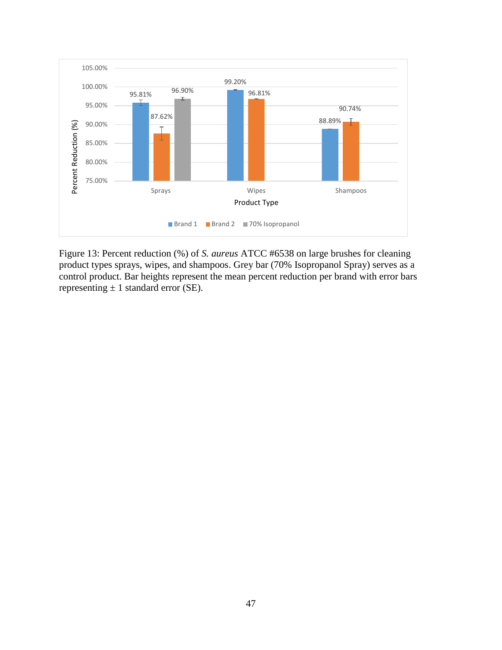

Figure 13: Percent reduction (%) of *S. aureus* ATCC #6538 on large brushes for cleaning product types sprays, wipes, and shampoos. Grey bar (70% Isopropanol Spray) serves as a control product. Bar heights represent the mean percent reduction per brand with error bars representing  $\pm$  1 standard error (SE).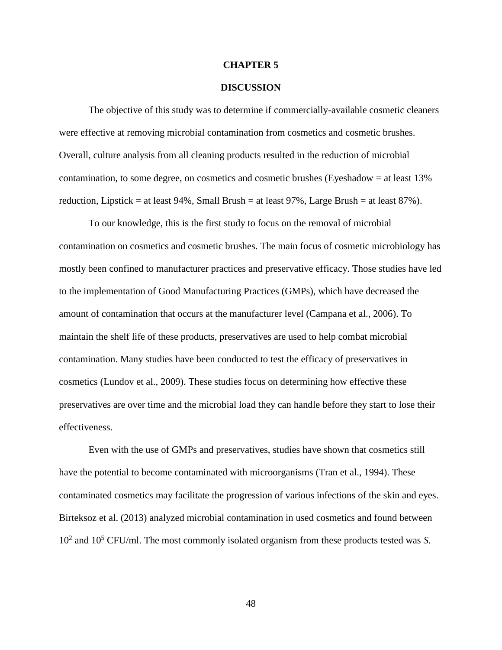#### **CHAPTER 5**

#### **DISCUSSION**

The objective of this study was to determine if commercially-available cosmetic cleaners were effective at removing microbial contamination from cosmetics and cosmetic brushes. Overall, culture analysis from all cleaning products resulted in the reduction of microbial contamination, to some degree, on cosmetics and cosmetic brushes (Eyeshadow  $=$  at least 13% reduction, Lipstick = at least  $94\%$ , Small Brush = at least  $97\%$ , Large Brush = at least  $87\%$ ).

To our knowledge, this is the first study to focus on the removal of microbial contamination on cosmetics and cosmetic brushes. The main focus of cosmetic microbiology has mostly been confined to manufacturer practices and preservative efficacy. Those studies have led to the implementation of Good Manufacturing Practices (GMPs), which have decreased the amount of contamination that occurs at the manufacturer level (Campana et al., 2006). To maintain the shelf life of these products, preservatives are used to help combat microbial contamination. Many studies have been conducted to test the efficacy of preservatives in cosmetics (Lundov et al., 2009). These studies focus on determining how effective these preservatives are over time and the microbial load they can handle before they start to lose their effectiveness.

Even with the use of GMPs and preservatives, studies have shown that cosmetics still have the potential to become contaminated with microorganisms (Tran et al., 1994). These contaminated cosmetics may facilitate the progression of various infections of the skin and eyes. Birteksoz et al. (2013) analyzed microbial contamination in used cosmetics and found between 10<sup>2</sup> and 10<sup>5</sup> CFU/ml. The most commonly isolated organism from these products tested was *S.*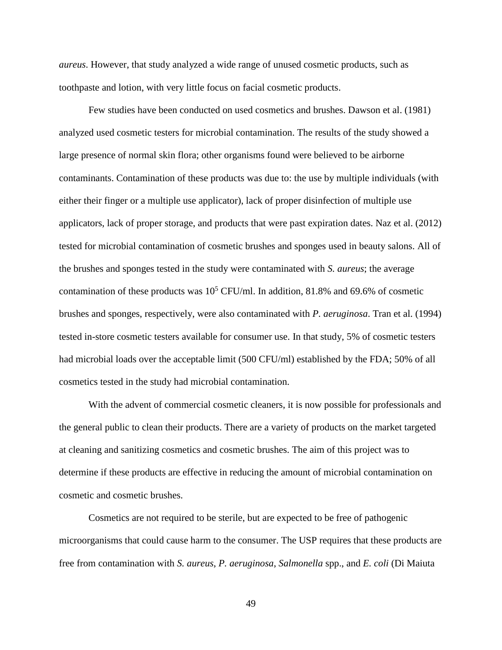*aureus*. However, that study analyzed a wide range of unused cosmetic products, such as toothpaste and lotion, with very little focus on facial cosmetic products.

Few studies have been conducted on used cosmetics and brushes. Dawson et al. (1981) analyzed used cosmetic testers for microbial contamination. The results of the study showed a large presence of normal skin flora; other organisms found were believed to be airborne contaminants. Contamination of these products was due to: the use by multiple individuals (with either their finger or a multiple use applicator), lack of proper disinfection of multiple use applicators, lack of proper storage, and products that were past expiration dates. Naz et al. (2012) tested for microbial contamination of cosmetic brushes and sponges used in beauty salons. All of the brushes and sponges tested in the study were contaminated with *S. aureus*; the average contamination of these products was  $10^5$  CFU/ml. In addition, 81.8% and 69.6% of cosmetic brushes and sponges, respectively, were also contaminated with *P. aeruginosa*. Tran et al. (1994) tested in-store cosmetic testers available for consumer use. In that study, 5% of cosmetic testers had microbial loads over the acceptable limit (500 CFU/ml) established by the FDA; 50% of all cosmetics tested in the study had microbial contamination.

With the advent of commercial cosmetic cleaners, it is now possible for professionals and the general public to clean their products. There are a variety of products on the market targeted at cleaning and sanitizing cosmetics and cosmetic brushes. The aim of this project was to determine if these products are effective in reducing the amount of microbial contamination on cosmetic and cosmetic brushes.

Cosmetics are not required to be sterile, but are expected to be free of pathogenic microorganisms that could cause harm to the consumer. The USP requires that these products are free from contamination with *S. aureus*, *P. aeruginosa*, *Salmonella* spp., and *E. coli* (Di Maiuta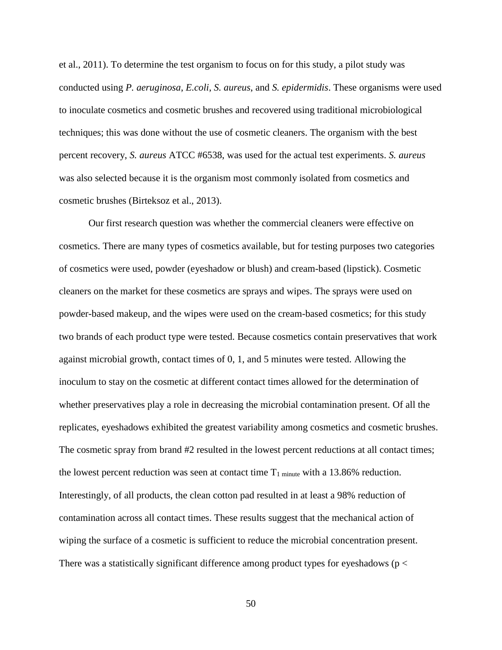et al., 2011). To determine the test organism to focus on for this study, a pilot study was conducted using *P. aeruginosa*, *E.coli*, *S. aureus*, and *S. epidermidis*. These organisms were used to inoculate cosmetics and cosmetic brushes and recovered using traditional microbiological techniques; this was done without the use of cosmetic cleaners. The organism with the best percent recovery, *S. aureus* ATCC #6538, was used for the actual test experiments. *S. aureus* was also selected because it is the organism most commonly isolated from cosmetics and cosmetic brushes (Birteksoz et al., 2013).

Our first research question was whether the commercial cleaners were effective on cosmetics. There are many types of cosmetics available, but for testing purposes two categories of cosmetics were used, powder (eyeshadow or blush) and cream-based (lipstick). Cosmetic cleaners on the market for these cosmetics are sprays and wipes. The sprays were used on powder-based makeup, and the wipes were used on the cream-based cosmetics; for this study two brands of each product type were tested. Because cosmetics contain preservatives that work against microbial growth, contact times of 0, 1, and 5 minutes were tested. Allowing the inoculum to stay on the cosmetic at different contact times allowed for the determination of whether preservatives play a role in decreasing the microbial contamination present. Of all the replicates, eyeshadows exhibited the greatest variability among cosmetics and cosmetic brushes. The cosmetic spray from brand #2 resulted in the lowest percent reductions at all contact times; the lowest percent reduction was seen at contact time  $T_1$  minute with a 13.86% reduction. Interestingly, of all products, the clean cotton pad resulted in at least a 98% reduction of contamination across all contact times. These results suggest that the mechanical action of wiping the surface of a cosmetic is sufficient to reduce the microbial concentration present. There was a statistically significant difference among product types for eyeshadows ( $p <$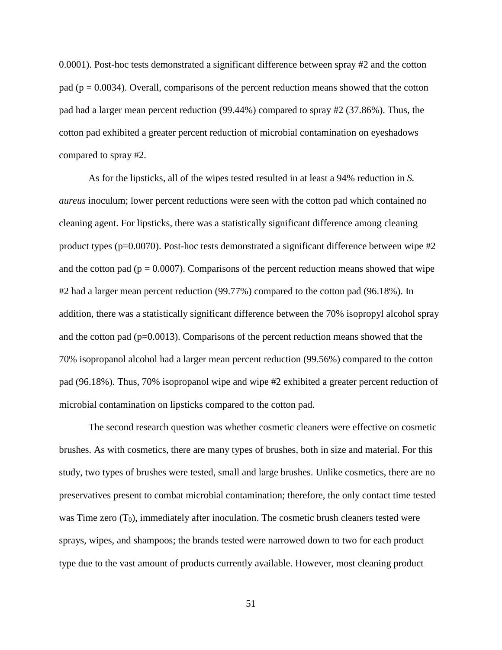0.0001). Post-hoc tests demonstrated a significant difference between spray #2 and the cotton pad ( $p = 0.0034$ ). Overall, comparisons of the percent reduction means showed that the cotton pad had a larger mean percent reduction (99.44%) compared to spray #2 (37.86%). Thus, the cotton pad exhibited a greater percent reduction of microbial contamination on eyeshadows compared to spray #2.

As for the lipsticks, all of the wipes tested resulted in at least a 94% reduction in *S. aureus* inoculum; lower percent reductions were seen with the cotton pad which contained no cleaning agent. For lipsticks, there was a statistically significant difference among cleaning product types ( $p=0.0070$ ). Post-hoc tests demonstrated a significant difference between wipe  $\#2$ and the cotton pad ( $p = 0.0007$ ). Comparisons of the percent reduction means showed that wipe #2 had a larger mean percent reduction (99.77%) compared to the cotton pad (96.18%). In addition, there was a statistically significant difference between the 70% isopropyl alcohol spray and the cotton pad  $(p=0.0013)$ . Comparisons of the percent reduction means showed that the 70% isopropanol alcohol had a larger mean percent reduction (99.56%) compared to the cotton pad (96.18%). Thus, 70% isopropanol wipe and wipe #2 exhibited a greater percent reduction of microbial contamination on lipsticks compared to the cotton pad.

The second research question was whether cosmetic cleaners were effective on cosmetic brushes. As with cosmetics, there are many types of brushes, both in size and material. For this study, two types of brushes were tested, small and large brushes. Unlike cosmetics, there are no preservatives present to combat microbial contamination; therefore, the only contact time tested was Time zero  $(T_0)$ , immediately after inoculation. The cosmetic brush cleaners tested were sprays, wipes, and shampoos; the brands tested were narrowed down to two for each product type due to the vast amount of products currently available. However, most cleaning product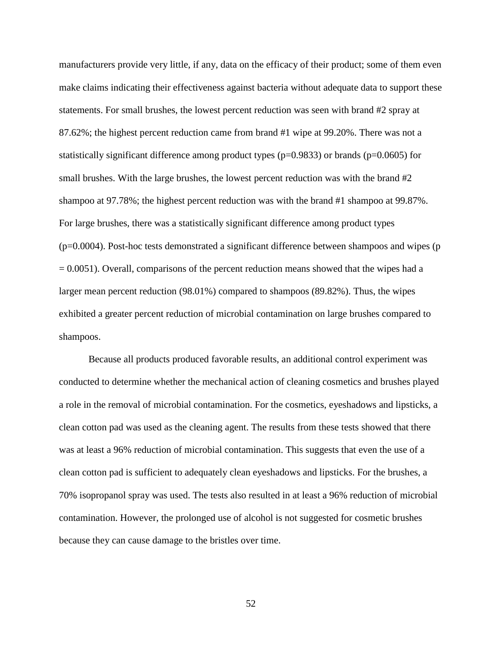manufacturers provide very little, if any, data on the efficacy of their product; some of them even make claims indicating their effectiveness against bacteria without adequate data to support these statements. For small brushes, the lowest percent reduction was seen with brand #2 spray at 87.62%; the highest percent reduction came from brand #1 wipe at 99.20%. There was not a statistically significant difference among product types ( $p=0.9833$ ) or brands ( $p=0.0605$ ) for small brushes. With the large brushes, the lowest percent reduction was with the brand #2 shampoo at 97.78%; the highest percent reduction was with the brand #1 shampoo at 99.87%. For large brushes, there was a statistically significant difference among product types  $(p=0.0004)$ . Post-hoc tests demonstrated a significant difference between shampoos and wipes (p  $= 0.0051$ ). Overall, comparisons of the percent reduction means showed that the wipes had a larger mean percent reduction (98.01%) compared to shampoos (89.82%). Thus, the wipes exhibited a greater percent reduction of microbial contamination on large brushes compared to shampoos.

Because all products produced favorable results, an additional control experiment was conducted to determine whether the mechanical action of cleaning cosmetics and brushes played a role in the removal of microbial contamination. For the cosmetics, eyeshadows and lipsticks, a clean cotton pad was used as the cleaning agent. The results from these tests showed that there was at least a 96% reduction of microbial contamination. This suggests that even the use of a clean cotton pad is sufficient to adequately clean eyeshadows and lipsticks. For the brushes, a 70% isopropanol spray was used. The tests also resulted in at least a 96% reduction of microbial contamination. However, the prolonged use of alcohol is not suggested for cosmetic brushes because they can cause damage to the bristles over time.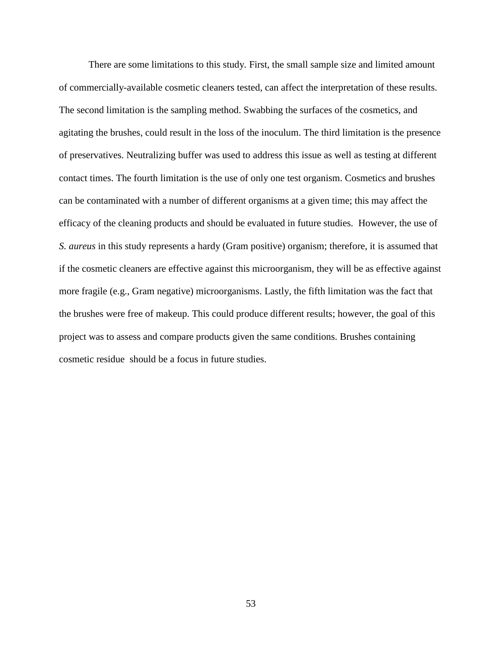There are some limitations to this study. First, the small sample size and limited amount of commercially-available cosmetic cleaners tested, can affect the interpretation of these results. The second limitation is the sampling method. Swabbing the surfaces of the cosmetics, and agitating the brushes, could result in the loss of the inoculum. The third limitation is the presence of preservatives. Neutralizing buffer was used to address this issue as well as testing at different contact times. The fourth limitation is the use of only one test organism. Cosmetics and brushes can be contaminated with a number of different organisms at a given time; this may affect the efficacy of the cleaning products and should be evaluated in future studies. However, the use of *S. aureus* in this study represents a hardy (Gram positive) organism; therefore, it is assumed that if the cosmetic cleaners are effective against this microorganism, they will be as effective against more fragile (e.g., Gram negative) microorganisms. Lastly, the fifth limitation was the fact that the brushes were free of makeup. This could produce different results; however, the goal of this project was to assess and compare products given the same conditions. Brushes containing cosmetic residue should be a focus in future studies.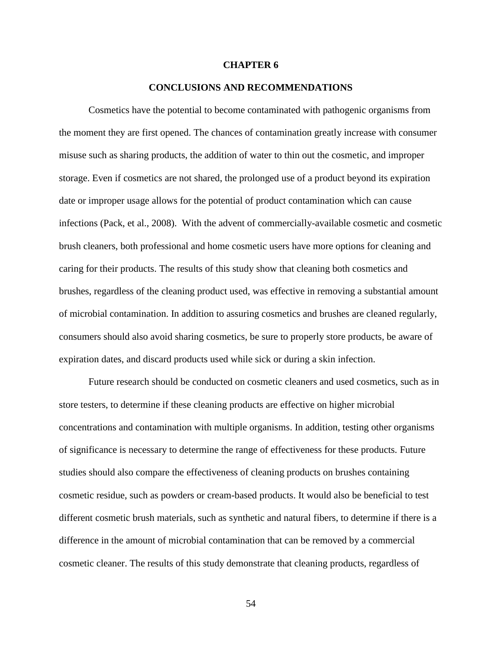#### **CHAPTER 6**

#### **CONCLUSIONS AND RECOMMENDATIONS**

Cosmetics have the potential to become contaminated with pathogenic organisms from the moment they are first opened. The chances of contamination greatly increase with consumer misuse such as sharing products, the addition of water to thin out the cosmetic, and improper storage. Even if cosmetics are not shared, the prolonged use of a product beyond its expiration date or improper usage allows for the potential of product contamination which can cause infections (Pack, et al., 2008). With the advent of commercially-available cosmetic and cosmetic brush cleaners, both professional and home cosmetic users have more options for cleaning and caring for their products. The results of this study show that cleaning both cosmetics and brushes, regardless of the cleaning product used, was effective in removing a substantial amount of microbial contamination. In addition to assuring cosmetics and brushes are cleaned regularly, consumers should also avoid sharing cosmetics, be sure to properly store products, be aware of expiration dates, and discard products used while sick or during a skin infection.

Future research should be conducted on cosmetic cleaners and used cosmetics, such as in store testers, to determine if these cleaning products are effective on higher microbial concentrations and contamination with multiple organisms. In addition, testing other organisms of significance is necessary to determine the range of effectiveness for these products. Future studies should also compare the effectiveness of cleaning products on brushes containing cosmetic residue, such as powders or cream-based products. It would also be beneficial to test different cosmetic brush materials, such as synthetic and natural fibers, to determine if there is a difference in the amount of microbial contamination that can be removed by a commercial cosmetic cleaner. The results of this study demonstrate that cleaning products, regardless of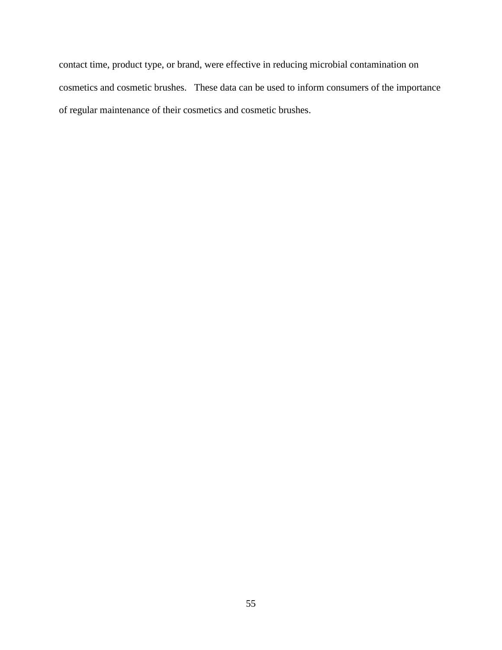contact time, product type, or brand, were effective in reducing microbial contamination on cosmetics and cosmetic brushes. These data can be used to inform consumers of the importance of regular maintenance of their cosmetics and cosmetic brushes.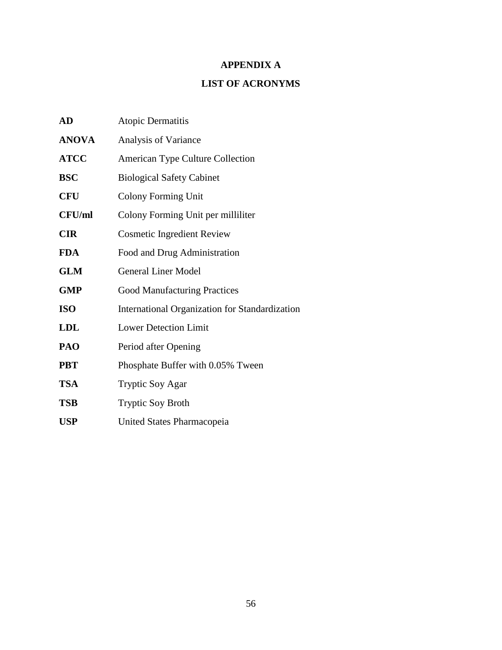## **APPENDIX A**

## **LIST OF ACRONYMS**

| AD            | Atopic Dermatitis                              |
|---------------|------------------------------------------------|
| <b>ANOVA</b>  | Analysis of Variance                           |
| <b>ATCC</b>   | American Type Culture Collection               |
| <b>BSC</b>    | <b>Biological Safety Cabinet</b>               |
| <b>CFU</b>    | Colony Forming Unit                            |
| <b>CFU/ml</b> | Colony Forming Unit per milliliter             |
| <b>CIR</b>    | <b>Cosmetic Ingredient Review</b>              |
| <b>FDA</b>    | Food and Drug Administration                   |
| <b>GLM</b>    | <b>General Liner Model</b>                     |
| <b>GMP</b>    | <b>Good Manufacturing Practices</b>            |
| <b>ISO</b>    | International Organization for Standardization |
| <b>LDL</b>    | <b>Lower Detection Limit</b>                   |
| PAO           | Period after Opening                           |
| <b>PBT</b>    | Phosphate Buffer with 0.05% Tween              |
| <b>TSA</b>    | <b>Tryptic Soy Agar</b>                        |
| <b>TSB</b>    | <b>Tryptic Soy Broth</b>                       |
| <b>USP</b>    | United States Pharmacopeia                     |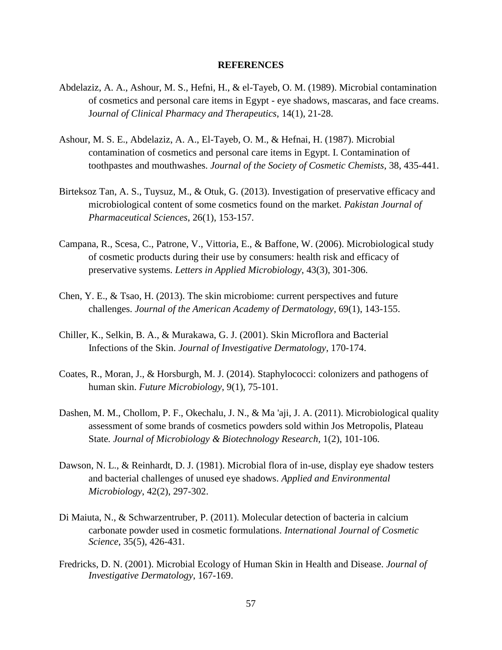#### **REFERENCES**

- Abdelaziz, A. A., Ashour, M. S., Hefni, H., & el-Tayeb, O. M. (1989). Microbial contamination of cosmetics and personal care items in Egypt - eye shadows, mascaras, and face creams. J*ournal of Clinical Pharmacy and Therapeutics*, 14(1), 21-28.
- Ashour, M. S. E., Abdelaziz, A. A., El-Tayeb, O. M., & Hefnai, H. (1987). Microbial contamination of cosmetics and personal care items in Egypt. I. Contamination of toothpastes and mouthwashes. *Journal of the Society of Cosmetic Chemists*, 38, 435-441.
- Birteksoz Tan, A. S., Tuysuz, M., & Otuk, G. (2013). Investigation of preservative efficacy and microbiological content of some cosmetics found on the market. *Pakistan Journal of Pharmaceutical Sciences*, 26(1), 153-157.
- Campana, R., Scesa, C., Patrone, V., Vittoria, E., & Baffone, W. (2006). Microbiological study of cosmetic products during their use by consumers: health risk and efficacy of preservative systems. *Letters in Applied Microbiology*, 43(3), 301-306.
- Chen, Y. E., & Tsao, H. (2013). The skin microbiome: current perspectives and future challenges. *Journal of the American Academy of Dermatology*, 69(1), 143-155.
- Chiller, K., Selkin, B. A., & Murakawa, G. J. (2001). Skin Microflora and Bacterial Infections of the Skin. *Journal of Investigative Dermatology*, 170-174.
- Coates, R., Moran, J., & Horsburgh, M. J. (2014). Staphylococci: colonizers and pathogens of human skin. *Future Microbiology*, 9(1), 75-101.
- Dashen, M. M., Chollom, P. F., Okechalu, J. N., & Ma 'aji, J. A. (2011). Microbiological quality assessment of some brands of cosmetics powders sold within Jos Metropolis, Plateau State*. Journal of Microbiology & Biotechnology Research*, 1(2), 101-106.
- Dawson, N. L., & Reinhardt, D. J. (1981). Microbial flora of in-use, display eye shadow testers and bacterial challenges of unused eye shadows. *Applied and Environmental Microbiology*, 42(2), 297-302.
- Di Maiuta, N., & Schwarzentruber, P. (2011). Molecular detection of bacteria in calcium carbonate powder used in cosmetic formulations. *International Journal of Cosmetic Science*, 35(5), 426-431.
- Fredricks, D. N. (2001). Microbial Ecology of Human Skin in Health and Disease. *Journal of Investigative Dermatology*, 167-169.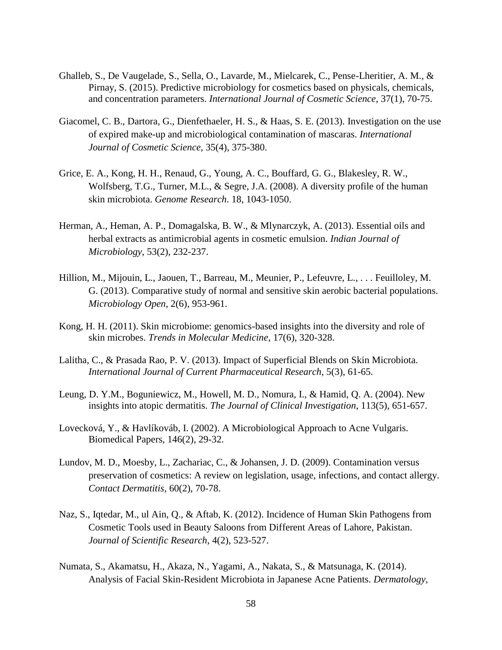- Ghalleb, S., De Vaugelade, S., Sella, O., Lavarde, M., Mielcarek, C., Pense-Lheritier, A. M., & Pirnay, S. (2015). Predictive microbiology for cosmetics based on physicals, chemicals, and concentration parameters. *International Journal of Cosmetic Science*, 37(1), 70-75.
- Giacomel, C. B., Dartora, G., Dienfethaeler, H. S., & Haas, S. E. (2013). Investigation on the use of expired make-up and microbiological contamination of mascaras. *International Journal of Cosmetic Science*, 35(4), 375-380.
- Grice, E. A., Kong, H. H., Renaud, G., Young, A. C., Bouffard, G. G., Blakesley, R. W., Wolfsberg, T.G., Turner, M.L., & Segre, J.A. (2008). A diversity profile of the human skin microbiota. *Genome Research*. 18, 1043-1050.
- Herman, A., Heman, A. P., Domagalska, B. W., & Mlynarczyk, A. (2013). Essential oils and herbal extracts as antimicrobial agents in cosmetic emulsion. *Indian Journal of Microbiology*, 53(2), 232-237.
- Hillion, M., Mijouin, L., Jaouen, T., Barreau, M., Meunier, P., Lefeuvre, L., . . . Feuilloley, M. G. (2013). Comparative study of normal and sensitive skin aerobic bacterial populations. *Microbiology Open*, 2(6), 953-961.
- Kong, H. H. (2011). Skin microbiome: genomics-based insights into the diversity and role of skin microbes. *Trends in Molecular Medicine*, 17(6), 320-328.
- Lalitha, C., & Prasada Rao, P. V. (2013). Impact of Superficial Blends on Skin Microbiota. *International Journal of Current Pharmaceutical Research*, 5(3), 61-65.
- Leung, D. Y.M., Boguniewicz, M., Howell, M. D., Nomura, I., & Hamid, Q. A. (2004). New insights into atopic dermatitis. *The Journal of Clinical Investigation*, 113(5), 651-657.
- Lovecková, Y., & Havlíkováb, I. (2002). A Microbiological Approach to Acne Vulgaris. Biomedical Papers, 146(2), 29-32.
- Lundov, M. D., Moesby, L., Zachariac, C., & Johansen, J. D. (2009). Contamination versus preservation of cosmetics: A review on legislation, usage, infections, and contact allergy. *Contact Dermatitis*, 60(2), 70-78.
- Naz, S., Iqtedar, M., ul Ain, Q., & Aftab, K. (2012). Incidence of Human Skin Pathogens from Cosmetic Tools used in Beauty Saloons from Different Areas of Lahore, Pakistan. *Journal of Scientific Research*, 4(2), 523-527.
- Numata, S., Akamatsu, H., Akaza, N., Yagami, A., Nakata, S., & Matsunaga, K. (2014). Analysis of Facial Skin-Resident Microbiota in Japanese Acne Patients. *Dermatology*,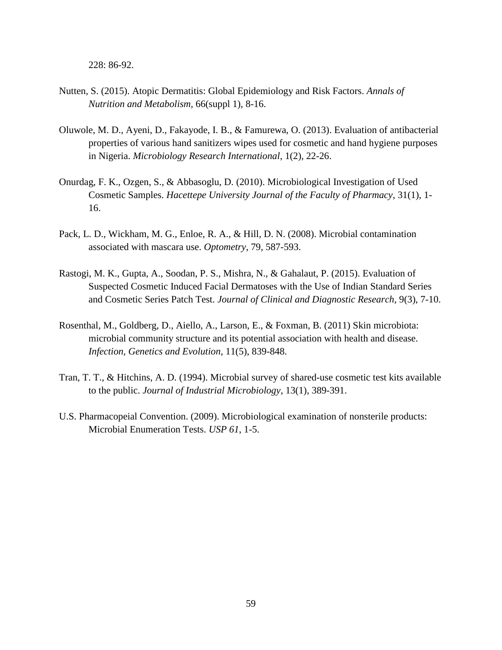228: 86-92.

- Nutten, S. (2015). Atopic Dermatitis: Global Epidemiology and Risk Factors. *Annals of Nutrition and Metabolism*, 66(suppl 1), 8-16.
- Oluwole, M. D., Ayeni, D., Fakayode, I. B., & Famurewa, O. (2013). Evaluation of antibacterial properties of various hand sanitizers wipes used for cosmetic and hand hygiene purposes in Nigeria. *Microbiology Research International*, 1(2), 22-26.
- Onurdag, F. K., Ozgen, S., & Abbasoglu, D. (2010). Microbiological Investigation of Used Cosmetic Samples. *Hacettepe University Journal of the Faculty of Pharmacy*, 31(1), 1- 16.
- Pack, L. D., Wickham, M. G., Enloe, R. A., & Hill, D. N. (2008). Microbial contamination associated with mascara use. *Optometry*, 79, 587-593.
- Rastogi, M. K., Gupta, A., Soodan, P. S., Mishra, N., & Gahalaut, P. (2015). Evaluation of Suspected Cosmetic Induced Facial Dermatoses with the Use of Indian Standard Series and Cosmetic Series Patch Test. *Journal of Clinical and Diagnostic Research*, 9(3), 7-10.
- Rosenthal, M., Goldberg, D., Aiello, A., Larson, E., & Foxman, B. (2011) Skin microbiota: microbial community structure and its potential association with health and disease. *Infection, Genetics and Evolution*, 11(5), 839-848.
- Tran, T. T., & Hitchins, A. D. (1994). Microbial survey of shared-use cosmetic test kits available to the public. *Journal of Industrial Microbiology*, 13(1), 389-391.
- U.S. Pharmacopeial Convention. (2009). Microbiological examination of nonsterile products: Microbial Enumeration Tests. *USP 61*, 1-5.